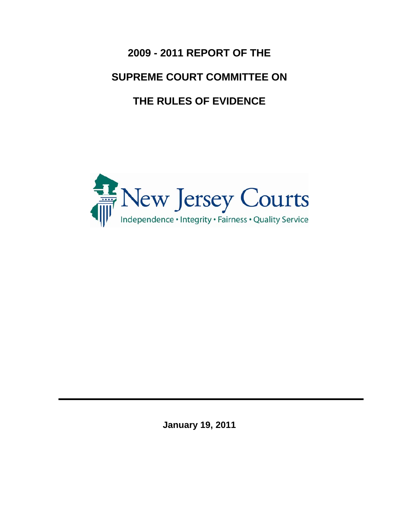**2009 - 2011 REPORT OF THE SUPREME COURT COMMITTEE ON THE RULES OF EVIDENCE**



**January 19, 2011**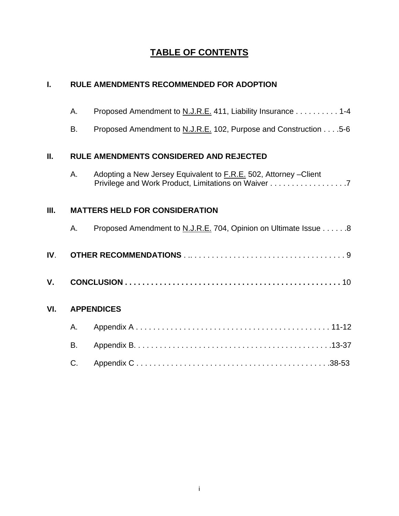# **TABLE OF CONTENTS**

| Ī.   | <b>RULE AMENDMENTS RECOMMENDED FOR ADOPTION</b> |                                                                                                                          |  |
|------|-------------------------------------------------|--------------------------------------------------------------------------------------------------------------------------|--|
|      | А.                                              | Proposed Amendment to N.J.R.E. 411, Liability Insurance 1-4                                                              |  |
|      | B.                                              | Proposed Amendment to N.J.R.E. 102, Purpose and Construction 5-6                                                         |  |
| II.  |                                                 | <b>RULE AMENDMENTS CONSIDERED AND REJECTED</b>                                                                           |  |
|      | А.                                              | Adopting a New Jersey Equivalent to F.R.E. 502, Attorney - Client<br>Privilege and Work Product, Limitations on Waiver 7 |  |
| III. |                                                 | <b>MATTERS HELD FOR CONSIDERATION</b>                                                                                    |  |
|      | А.                                              | Proposed Amendment to N.J.R.E. 704, Opinion on Ultimate Issue 8                                                          |  |
| IV.  |                                                 |                                                                                                                          |  |
| ٧.   |                                                 |                                                                                                                          |  |
| VI.  |                                                 | <b>APPENDICES</b>                                                                                                        |  |
|      | А.                                              |                                                                                                                          |  |
|      | B.                                              |                                                                                                                          |  |
|      | C.                                              |                                                                                                                          |  |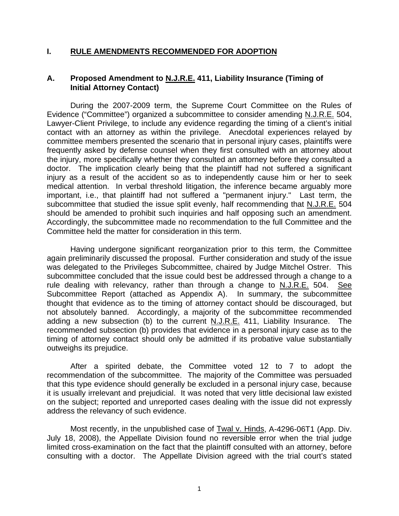## **I. RULE AMENDMENTS RECOMMENDED FOR ADOPTION**

## **A. Proposed Amendment to N.J.R.E. 411, Liability Insurance (Timing of Initial Attorney Contact)**

During the 2007-2009 term, the Supreme Court Committee on the Rules of Evidence ("Committee") organized a subcommittee to consider amending N.J.R.E. 504, Lawyer-Client Privilege, to include any evidence regarding the timing of a client's initial contact with an attorney as within the privilege. Anecdotal experiences relayed by committee members presented the scenario that in personal injury cases, plaintiffs were frequently asked by defense counsel when they first consulted with an attorney about the injury, more specifically whether they consulted an attorney before they consulted a doctor. The implication clearly being that the plaintiff had not suffered a significant injury as a result of the accident so as to independently cause him or her to seek medical attention. In verbal threshold litigation, the inference became arguably more important, i.e., that plaintiff had not suffered a "permanent injury." Last term, the subcommittee that studied the issue split evenly, half recommending that N.J.R.E. 504 should be amended to prohibit such inquiries and half opposing such an amendment. Accordingly, the subcommittee made no recommendation to the full Committee and the Committee held the matter for consideration in this term.

Having undergone significant reorganization prior to this term, the Committee again preliminarily discussed the proposal. Further consideration and study of the issue was delegated to the Privileges Subcommittee, chaired by Judge Mitchel Ostrer. This subcommittee concluded that the issue could best be addressed through a change to a rule dealing with relevancy, rather than through a change to N.J.R.E. 504. See Subcommittee Report (attached as Appendix A). In summary, the subcommittee thought that evidence as to the timing of attorney contact should be discouraged, but not absolutely banned. Accordingly, a majority of the subcommittee recommended adding a new subsection (b) to the current N.J.R.E. 411, Liability Insurance. The recommended subsection (b) provides that evidence in a personal injury case as to the timing of attorney contact should only be admitted if its probative value substantially outweighs its prejudice.

After a spirited debate, the Committee voted 12 to 7 to adopt the recommendation of the subcommittee. The majority of the Committee was persuaded that this type evidence should generally be excluded in a personal injury case, because it is usually irrelevant and prejudicial. It was noted that very little decisional law existed on the subject; reported and unreported cases dealing with the issue did not expressly address the relevancy of such evidence.

Most recently, in the unpublished case of Twal v. Hinds, A-4296-06T1 (App. Div. July 18, 2008), the Appellate Division found no reversible error when the trial judge limited cross-examination on the fact that the plaintiff consulted with an attorney, before consulting with a doctor. The Appellate Division agreed with the trial court's stated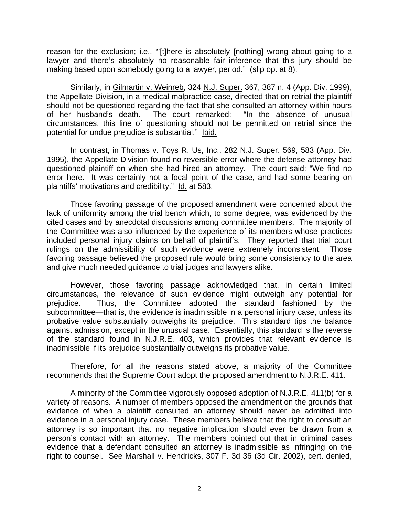reason for the exclusion; i.e., "'[t]here is absolutely [nothing] wrong about going to a lawyer and there's absolutely no reasonable fair inference that this jury should be making based upon somebody going to a lawyer, period." (slip op. at 8).

Similarly, in Gilmartin v. Weinreb, 324 N.J. Super. 367, 387 n. 4 (App. Div. 1999), the Appellate Division, in a medical malpractice case, directed that on retrial the plaintiff should not be questioned regarding the fact that she consulted an attorney within hours of her husband's death. The court remarked: "In the absence of unusual circumstances, this line of questioning should not be permitted on retrial since the potential for undue prejudice is substantial." Ibid.

In contrast, in Thomas v. Toys R. Us, Inc., 282 N.J. Super. 569, 583 (App. Div. 1995), the Appellate Division found no reversible error where the defense attorney had questioned plaintiff on when she had hired an attorney. The court said: "We find no error here. It was certainly not a focal point of the case, and had some bearing on plaintiffs' motivations and credibility." Id. at 583.

Those favoring passage of the proposed amendment were concerned about the lack of uniformity among the trial bench which, to some degree, was evidenced by the cited cases and by anecdotal discussions among committee members. The majority of the Committee was also influenced by the experience of its members whose practices included personal injury claims on behalf of plaintiffs. They reported that trial court rulings on the admissibility of such evidence were extremely inconsistent. Those favoring passage believed the proposed rule would bring some consistency to the area and give much needed guidance to trial judges and lawyers alike.

However, those favoring passage acknowledged that, in certain limited circumstances, the relevance of such evidence might outweigh any potential for prejudice. Thus, the Committee adopted the standard fashioned by the subcommittee—that is, the evidence is inadmissible in a personal injury case, unless its probative value substantially outweighs its prejudice. This standard tips the balance against admission, except in the unusual case. Essentially, this standard is the reverse of the standard found in  $N.L.R.E.$  403, which provides that relevant evidence is inadmissible if its prejudice substantially outweighs its probative value.

Therefore, for all the reasons stated above, a majority of the Committee recommends that the Supreme Court adopt the proposed amendment to N.J.R.E. 411.

A minority of the Committee vigorously opposed adoption of N.J.R.E. 411(b) for a variety of reasons. A number of members opposed the amendment on the grounds that evidence of when a plaintiff consulted an attorney should never be admitted into evidence in a personal injury case. These members believe that the right to consult an attorney is so important that no negative implication should ever be drawn from a person's contact with an attorney. The members pointed out that in criminal cases evidence that a defendant consulted an attorney is inadmissible as infringing on the right to counsel. See Marshall v. Hendricks, 307 F. 3d 36 (3d Cir. 2002), cert. denied,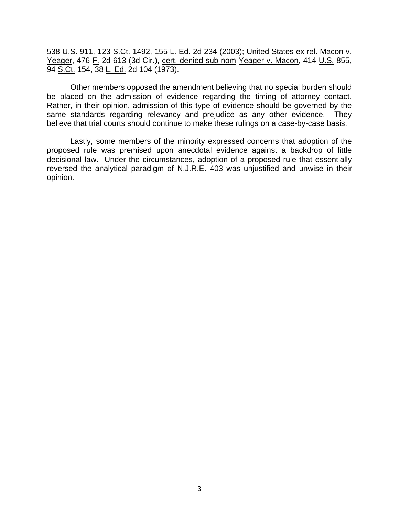538 U.S. 911, 123 S.Ct. 1492, 155 L. Ed. 2d 234 (2003); United States ex rel. Macon v. Yeager, 476 F. 2d 613 (3d Cir.), cert. denied sub nom Yeager v. Macon, 414 U.S. 855, 94 S.Ct. 154, 38 L. Ed. 2d 104 (1973).

Other members opposed the amendment believing that no special burden should be placed on the admission of evidence regarding the timing of attorney contact. Rather, in their opinion, admission of this type of evidence should be governed by the same standards regarding relevancy and prejudice as any other evidence. They believe that trial courts should continue to make these rulings on a case-by-case basis.

Lastly, some members of the minority expressed concerns that adoption of the proposed rule was premised upon anecdotal evidence against a backdrop of little decisional law. Under the circumstances, adoption of a proposed rule that essentially reversed the analytical paradigm of N.J.R.E. 403 was unjustified and unwise in their opinion.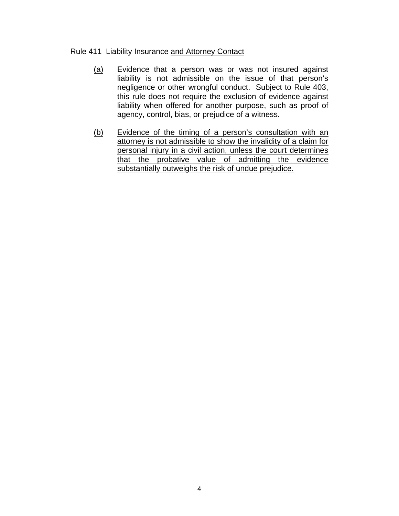## Rule 411 Liability Insurance and Attorney Contact

- (a) Evidence that a person was or was not insured against liability is not admissible on the issue of that person's negligence or other wrongful conduct. Subject to Rule 403, this rule does not require the exclusion of evidence against liability when offered for another purpose, such as proof of agency, control, bias, or prejudice of a witness.
- (b) Evidence of the timing of a person's consultation with an attorney is not admissible to show the invalidity of a claim for personal injury in a civil action, unless the court determines that the probative value of admitting the evidence substantially outweighs the risk of undue prejudice.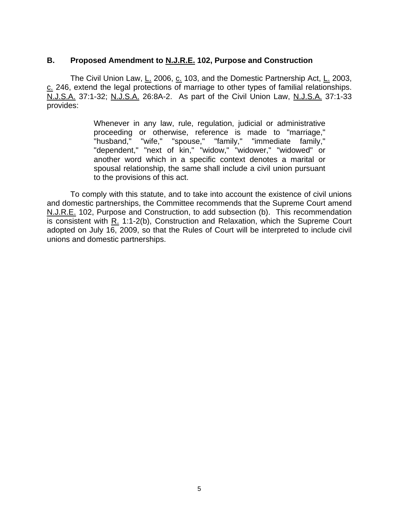## **B. Proposed Amendment to N.J.R.E. 102, Purpose and Construction**

The Civil Union Law, L. 2006, c. 103, and the Domestic Partnership Act, L. 2003, c. 246, extend the legal protections of marriage to other types of familial relationships. N.J.S.A. 37:1-32; N.J.S.A. 26:8A-2. As part of the Civil Union Law, N.J.S.A. 37:1-33 provides:

> Whenever in any law, rule, regulation, judicial or administrative proceeding or otherwise, reference is made to "marriage," "husband," "wife," "spouse," "family," "immediate family," "dependent," "next of kin," "widow," "widower," "widowed" or another word which in a specific context denotes a marital or spousal relationship, the same shall include a civil union pursuant to the provisions of this act.

To comply with this statute, and to take into account the existence of civil unions and domestic partnerships, the Committee recommends that the Supreme Court amend N.J.R.E. 102, Purpose and Construction, to add subsection (b). This recommendation is consistent with  $R_1$ . 1:1-2(b), Construction and Relaxation, which the Supreme Court adopted on July 16, 2009, so that the Rules of Court will be interpreted to include civil unions and domestic partnerships.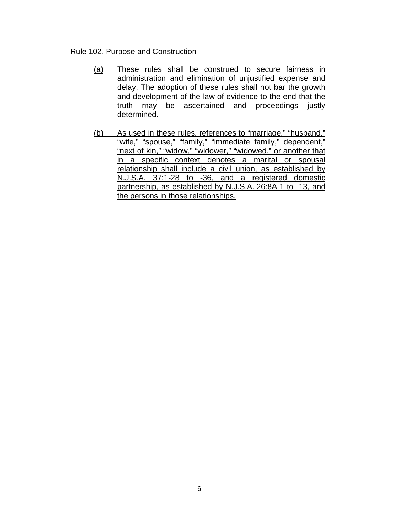## Rule 102. Purpose and Construction

- (a) These rules shall be construed to secure fairness in administration and elimination of unjustified expense and delay. The adoption of these rules shall not bar the growth and development of the law of evidence to the end that the truth may be ascertained and proceedings justly determined.
- (b) As used in these rules, references to "marriage," "husband," "wife," "spouse," "family," "immediate family," dependent," "next of kin," "widow," "widower," "widowed," or another that in a specific context denotes a marital or spousal relationship shall include a civil union, as established by N.J.S.A. 37:1-28 to -36, and a registered domestic partnership, as established by N.J.S.A. 26:8A-1 to -13, and the persons in those relationships.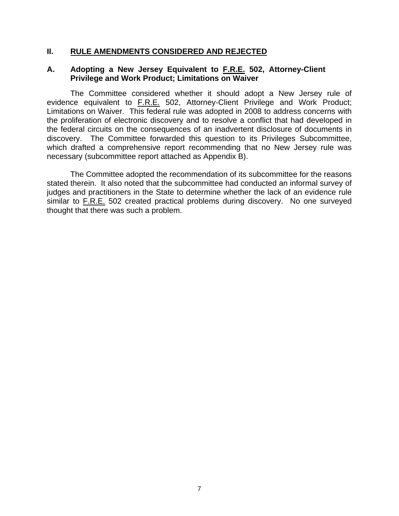## **II. RULE AMENDMENTS CONSIDERED AND REJECTED**

## **A. Adopting a New Jersey Equivalent to F.R.E. 502, Attorney-Client Privilege and Work Product; Limitations on Waiver**

 The Committee considered whether it should adopt a New Jersey rule of evidence equivalent to F.R.E. 502, Attorney-Client Privilege and Work Product; Limitations on Waiver. This federal rule was adopted in 2008 to address concerns with the proliferation of electronic discovery and to resolve a conflict that had developed in the federal circuits on the consequences of an inadvertent disclosure of documents in discovery. The Committee forwarded this question to its Privileges Subcommittee, which drafted a comprehensive report recommending that no New Jersey rule was necessary (subcommittee report attached as Appendix B).

 The Committee adopted the recommendation of its subcommittee for the reasons stated therein. It also noted that the subcommittee had conducted an informal survey of judges and practitioners in the State to determine whether the lack of an evidence rule similar to F.R.E. 502 created practical problems during discovery. No one surveyed thought that there was such a problem.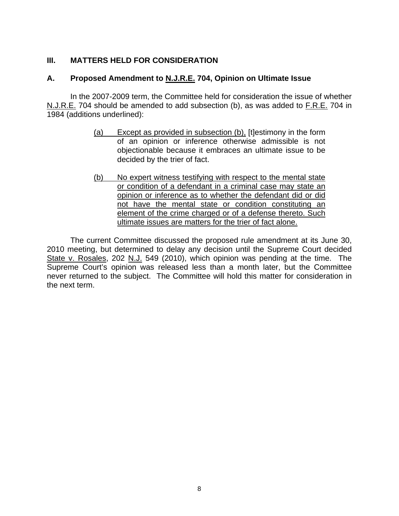## **III. MATTERS HELD FOR CONSIDERATION**

## **A. Proposed Amendment to N.J.R.E. 704, Opinion on Ultimate Issue**

In the 2007-2009 term, the Committee held for consideration the issue of whether N.J.R.E. 704 should be amended to add subsection (b), as was added to F.R.E. 704 in 1984 (additions underlined):

- (a) Except as provided in subsection (b), [t]estimony in the form of an opinion or inference otherwise admissible is not objectionable because it embraces an ultimate issue to be decided by the trier of fact.
- (b) No expert witness testifying with respect to the mental state or condition of a defendant in a criminal case may state an opinion or inference as to whether the defendant did or did not have the mental state or condition constituting an element of the crime charged or of a defense thereto. Such ultimate issues are matters for the trier of fact alone.

 The current Committee discussed the proposed rule amendment at its June 30, 2010 meeting, but determined to delay any decision until the Supreme Court decided State v. Rosales, 202 N.J. 549 (2010), which opinion was pending at the time. The Supreme Court's opinion was released less than a month later, but the Committee never returned to the subject. The Committee will hold this matter for consideration in the next term.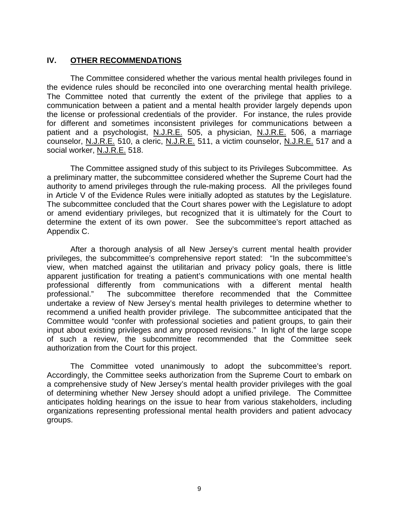## **IV. OTHER RECOMMENDATIONS**

The Committee considered whether the various mental health privileges found in the evidence rules should be reconciled into one overarching mental health privilege. The Committee noted that currently the extent of the privilege that applies to a communication between a patient and a mental health provider largely depends upon the license or professional credentials of the provider. For instance, the rules provide for different and sometimes inconsistent privileges for communications between a patient and a psychologist, N.J.R.E. 505, a physician, N.J.R.E. 506, a marriage counselor, N.J.R.E. 510, a cleric, N.J.R.E. 511, a victim counselor, N.J.R.E. 517 and a social worker, N.J.R.E. 518.

 The Committee assigned study of this subject to its Privileges Subcommittee. As a preliminary matter, the subcommittee considered whether the Supreme Court had the authority to amend privileges through the rule-making process. All the privileges found in Article V of the Evidence Rules were initially adopted as statutes by the Legislature. The subcommittee concluded that the Court shares power with the Legislature to adopt or amend evidentiary privileges, but recognized that it is ultimately for the Court to determine the extent of its own power. See the subcommittee's report attached as Appendix C.

 After a thorough analysis of all New Jersey's current mental health provider privileges, the subcommittee's comprehensive report stated: "In the subcommittee's view, when matched against the utilitarian and privacy policy goals, there is little apparent justification for treating a patient's communications with one mental health professional differently from communications with a different mental health professional." The subcommittee therefore recommended that the Committee undertake a review of New Jersey's mental health privileges to determine whether to recommend a unified health provider privilege. The subcommittee anticipated that the Committee would "confer with professional societies and patient groups, to gain their input about existing privileges and any proposed revisions." In light of the large scope of such a review, the subcommittee recommended that the Committee seek authorization from the Court for this project.

 The Committee voted unanimously to adopt the subcommittee's report. Accordingly, the Committee seeks authorization from the Supreme Court to embark on a comprehensive study of New Jersey's mental health provider privileges with the goal of determining whether New Jersey should adopt a unified privilege. The Committee anticipates holding hearings on the issue to hear from various stakeholders, including organizations representing professional mental health providers and patient advocacy groups.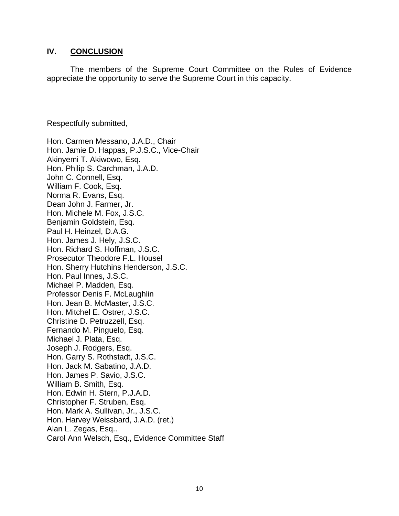## **IV. CONCLUSION**

 The members of the Supreme Court Committee on the Rules of Evidence appreciate the opportunity to serve the Supreme Court in this capacity.

Respectfully submitted,

Hon. Carmen Messano, J.A.D., Chair Hon. Jamie D. Happas, P.J.S.C., Vice-Chair Akinyemi T. Akiwowo, Esq. Hon. Philip S. Carchman, J.A.D. John C. Connell, Esq. William F. Cook, Esq. Norma R. Evans, Esq. Dean John J. Farmer, Jr. Hon. Michele M. Fox, J.S.C. Benjamin Goldstein, Esq. Paul H. Heinzel, D.A.G. Hon. James J. Hely, J.S.C. Hon. Richard S. Hoffman, J.S.C. Prosecutor Theodore F.L. Housel Hon. Sherry Hutchins Henderson, J.S.C. Hon. Paul Innes, J.S.C. Michael P. Madden, Esq. Professor Denis F. McLaughlin Hon. Jean B. McMaster, J.S.C. Hon. Mitchel E. Ostrer, J.S.C. Christine D. Petruzzell, Esq. Fernando M. Pinguelo, Esq. Michael J. Plata, Esq. Joseph J. Rodgers, Esq. Hon. Garry S. Rothstadt, J.S.C. Hon. Jack M. Sabatino, J.A.D. Hon. James P. Savio, J.S.C. William B. Smith, Esq. Hon. Edwin H. Stern, P.J.A.D. Christopher F. Struben, Esq. Hon. Mark A. Sullivan, Jr., J.S.C. Hon. Harvey Weissbard, J.A.D. (ret.) Alan L. Zegas, Esq.. Carol Ann Welsch, Esq., Evidence Committee Staff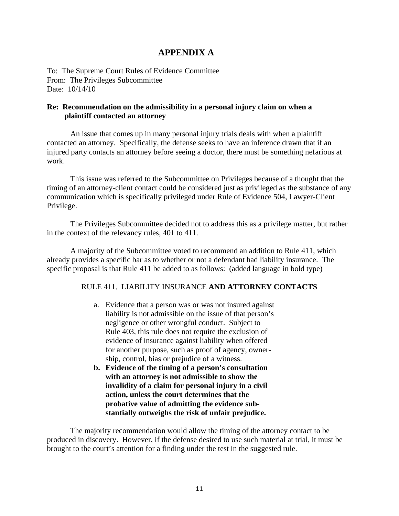## **APPENDIX A**

To: The Supreme Court Rules of Evidence Committee From: The Privileges Subcommittee Date: 10/14/10

## **Re: Recommendation on the admissibility in a personal injury claim on when a plaintiff contacted an attorney**

An issue that comes up in many personal injury trials deals with when a plaintiff contacted an attorney. Specifically, the defense seeks to have an inference drawn that if an injured party contacts an attorney before seeing a doctor, there must be something nefarious at work.

This issue was referred to the Subcommittee on Privileges because of a thought that the timing of an attorney-client contact could be considered just as privileged as the substance of any communication which is specifically privileged under Rule of Evidence 504, Lawyer-Client Privilege.

The Privileges Subcommittee decided not to address this as a privilege matter, but rather in the context of the relevancy rules, 401 to 411.

A majority of the Subcommittee voted to recommend an addition to Rule 411, which already provides a specific bar as to whether or not a defendant had liability insurance. The specific proposal is that Rule 411 be added to as follows: (added language in bold type)

### RULE 411. LIABILITY INSURANCE **AND ATTORNEY CONTACTS**

- a. Evidence that a person was or was not insured against liability is not admissible on the issue of that person's negligence or other wrongful conduct. Subject to Rule 403, this rule does not require the exclusion of evidence of insurance against liability when offered for another purpose, such as proof of agency, ownership, control, bias or prejudice of a witness.
- **b. Evidence of the timing of a person's consultation with an attorney is not admissible to show the invalidity of a claim for personal injury in a civil action, unless the court determines that the probative value of admitting the evidence substantially outweighs the risk of unfair prejudice.**

 The majority recommendation would allow the timing of the attorney contact to be produced in discovery. However, if the defense desired to use such material at trial, it must be brought to the court's attention for a finding under the test in the suggested rule.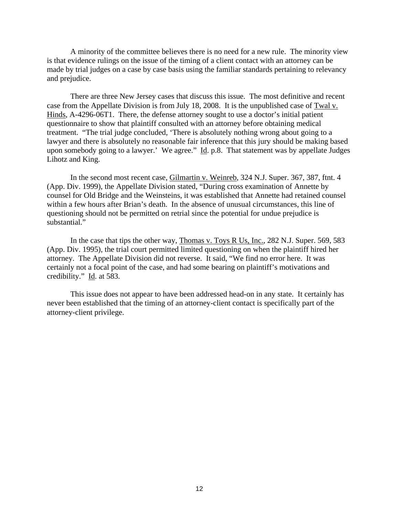A minority of the committee believes there is no need for a new rule. The minority view is that evidence rulings on the issue of the timing of a client contact with an attorney can be made by trial judges on a case by case basis using the familiar standards pertaining to relevancy and prejudice.

 There are three New Jersey cases that discuss this issue. The most definitive and recent case from the Appellate Division is from July 18, 2008. It is the unpublished case of Twal v. Hinds, A-4296-06T1. There, the defense attorney sought to use a doctor's initial patient questionnaire to show that plaintiff consulted with an attorney before obtaining medical treatment. "The trial judge concluded, 'There is absolutely nothing wrong about going to a lawyer and there is absolutely no reasonable fair inference that this jury should be making based upon somebody going to a lawyer.' We agree." Id. p.8. That statement was by appellate Judges Lihotz and King.

 In the second most recent case, Gilmartin v. Weinreb, 324 N.J. Super. 367, 387, ftnt. 4 (App. Div. 1999), the Appellate Division stated, "During cross examination of Annette by counsel for Old Bridge and the Weinsteins, it was established that Annette had retained counsel within a few hours after Brian's death. In the absence of unusual circumstances, this line of questioning should not be permitted on retrial since the potential for undue prejudice is substantial."

 In the case that tips the other way, Thomas v. Toys R Us, Inc., 282 N.J. Super. 569, 583 (App. Div. 1995), the trial court permitted limited questioning on when the plaintiff hired her attorney. The Appellate Division did not reverse. It said, "We find no error here. It was certainly not a focal point of the case, and had some bearing on plaintiff's motivations and credibility." Id. at 583.

 This issue does not appear to have been addressed head-on in any state. It certainly has never been established that the timing of an attorney-client contact is specifically part of the attorney-client privilege.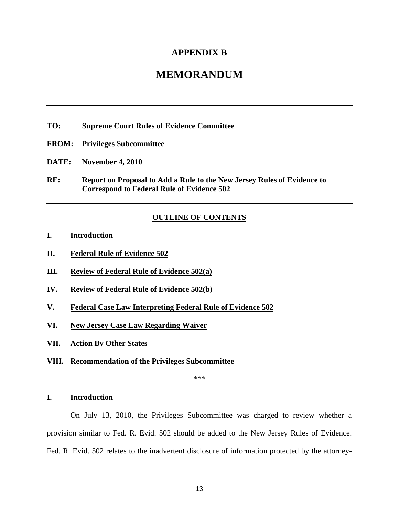## **APPENDIX B**

## **MEMORANDUM**

- **TO: Supreme Court Rules of Evidence Committee**
- **FROM: Privileges Subcommittee**
- **DATE: November 4, 2010**
- **RE: Report on Proposal to Add a Rule to the New Jersey Rules of Evidence to Correspond to Federal Rule of Evidence 502**

#### **OUTLINE OF CONTENTS**

- **I. Introduction**
- **II. Federal Rule of Evidence 502**
- **III. Review of Federal Rule of Evidence 502(a)**
- **IV. Review of Federal Rule of Evidence 502(b)**
- **V. Federal Case Law Interpreting Federal Rule of Evidence 502**
- **VI. New Jersey Case Law Regarding Waiver**
- **VII. Action By Other States**
- **VIII. Recommendation of the Privileges Subcommittee**

\*\*\*

#### **I. Introduction**

 On July 13, 2010, the Privileges Subcommittee was charged to review whether a provision similar to Fed. R. Evid. 502 should be added to the New Jersey Rules of Evidence. Fed. R. Evid. 502 relates to the inadvertent disclosure of information protected by the attorney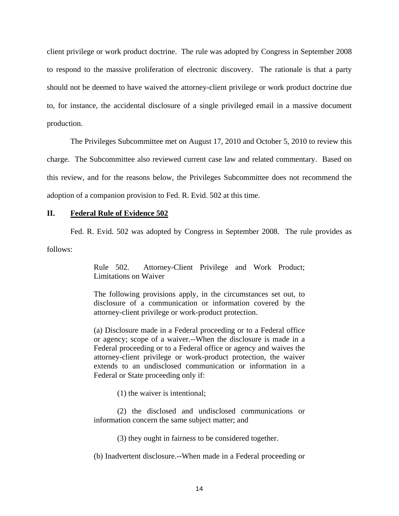client privilege or work product doctrine. The rule was adopted by Congress in September 2008 to respond to the massive proliferation of electronic discovery. The rationale is that a party should not be deemed to have waived the attorney-client privilege or work product doctrine due to, for instance, the accidental disclosure of a single privileged email in a massive document production.

 The Privileges Subcommittee met on August 17, 2010 and October 5, 2010 to review this charge. The Subcommittee also reviewed current case law and related commentary. Based on this review, and for the reasons below, the Privileges Subcommittee does not recommend the adoption of a companion provision to Fed. R. Evid. 502 at this time.

#### **II. Federal Rule of Evidence 502**

Fed. R. Evid. 502 was adopted by Congress in September 2008. The rule provides as

follows:

Rule 502. Attorney-Client Privilege and Work Product; Limitations on Waiver

The following provisions apply, in the circumstances set out, to disclosure of a communication or information covered by the attorney-client privilege or work-product protection.

(a) Disclosure made in a Federal proceeding or to a Federal office or agency; scope of a waiver.--When the disclosure is made in a Federal proceeding or to a Federal office or agency and waives the attorney-client privilege or work-product protection, the waiver extends to an undisclosed communication or information in a Federal or State proceeding only if:

(1) the waiver is intentional;

 (2) the disclosed and undisclosed communications or information concern the same subject matter; and

(3) they ought in fairness to be considered together.

(b) Inadvertent disclosure.--When made in a Federal proceeding or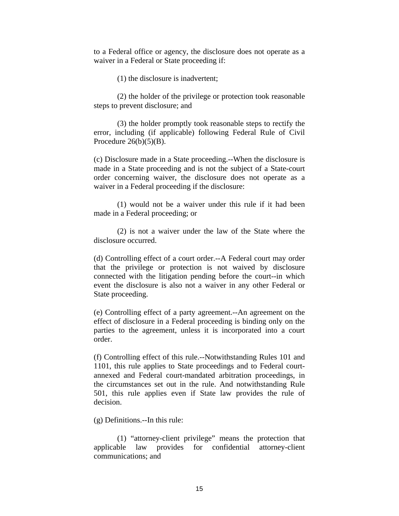to a Federal office or agency, the disclosure does not operate as a waiver in a Federal or State proceeding if:

(1) the disclosure is inadvertent;

 (2) the holder of the privilege or protection took reasonable steps to prevent disclosure; and

 (3) the holder promptly took reasonable steps to rectify the error, including (if applicable) following Federal Rule of Civil Procedure  $26(b)(5)(B)$ .

(c) Disclosure made in a State proceeding.--When the disclosure is made in a State proceeding and is not the subject of a State-court order concerning waiver, the disclosure does not operate as a waiver in a Federal proceeding if the disclosure:

 (1) would not be a waiver under this rule if it had been made in a Federal proceeding; or

 (2) is not a waiver under the law of the State where the disclosure occurred.

(d) Controlling effect of a court order.--A Federal court may order that the privilege or protection is not waived by disclosure connected with the litigation pending before the court--in which event the disclosure is also not a waiver in any other Federal or State proceeding.

(e) Controlling effect of a party agreement.--An agreement on the effect of disclosure in a Federal proceeding is binding only on the parties to the agreement, unless it is incorporated into a court order.

(f) Controlling effect of this rule.--Notwithstanding Rules 101 and 1101, this rule applies to State proceedings and to Federal courtannexed and Federal court-mandated arbitration proceedings, in the circumstances set out in the rule. And notwithstanding Rule 501, this rule applies even if State law provides the rule of decision.

(g) Definitions.--In this rule:

 (1) "attorney-client privilege" means the protection that applicable law provides for confidential attorney-client communications; and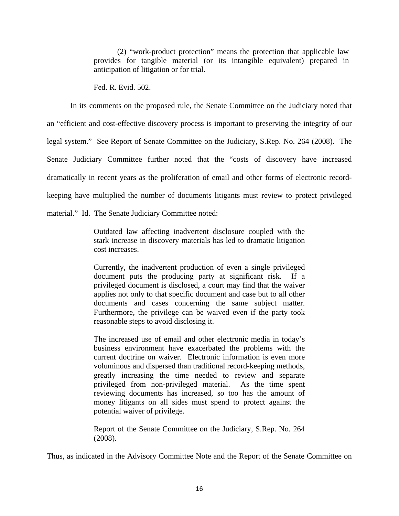(2) "work-product protection" means the protection that applicable law provides for tangible material (or its intangible equivalent) prepared in anticipation of litigation or for trial.

Fed. R. Evid. 502.

 In its comments on the proposed rule, the Senate Committee on the Judiciary noted that an "efficient and cost-effective discovery process is important to preserving the integrity of our legal system." See Report of Senate Committee on the Judiciary, S.Rep. No. 264 (2008). The Senate Judiciary Committee further noted that the "costs of discovery have increased dramatically in recent years as the proliferation of email and other forms of electronic recordkeeping have multiplied the number of documents litigants must review to protect privileged material." Id. The Senate Judiciary Committee noted:

> Outdated law affecting inadvertent disclosure coupled with the stark increase in discovery materials has led to dramatic litigation cost increases.

> Currently, the inadvertent production of even a single privileged document puts the producing party at significant risk. If a privileged document is disclosed, a court may find that the waiver applies not only to that specific document and case but to all other documents and cases concerning the same subject matter. Furthermore, the privilege can be waived even if the party took reasonable steps to avoid disclosing it.

> The increased use of email and other electronic media in today's business environment have exacerbated the problems with the current doctrine on waiver. Electronic information is even more voluminous and dispersed than traditional record-keeping methods, greatly increasing the time needed to review and separate privileged from non-privileged material. As the time spent reviewing documents has increased, so too has the amount of money litigants on all sides must spend to protect against the potential waiver of privilege.

> Report of the Senate Committee on the Judiciary, S.Rep. No. 264 (2008).

Thus, as indicated in the Advisory Committee Note and the Report of the Senate Committee on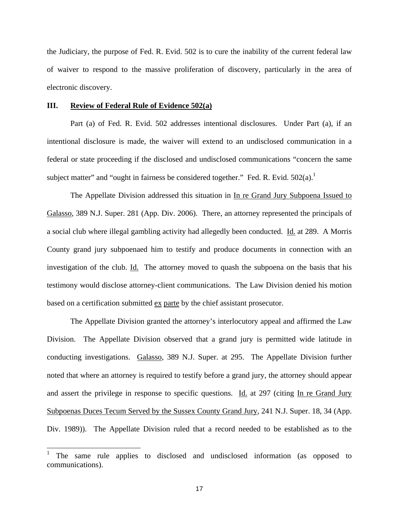the Judiciary, the purpose of Fed. R. Evid. 502 is to cure the inability of the current federal law of waiver to respond to the massive proliferation of discovery, particularly in the area of electronic discovery.

#### **III. Review of Federal Rule of Evidence 502(a)**

 $\overline{\phantom{a}}$ 

 Part (a) of Fed. R. Evid. 502 addresses intentional disclosures. Under Part (a), if an intentional disclosure is made, the waiver will extend to an undisclosed communication in a federal or state proceeding if the disclosed and undisclosed communications "concern the same subject matter" and "ought in fairness be considered together." Fed. R. Evid.  $502(a)$ .

 The Appellate Division addressed this situation in In re Grand Jury Subpoena Issued to Galasso, 389 N.J. Super. 281 (App. Div. 2006). There, an attorney represented the principals of a social club where illegal gambling activity had allegedly been conducted. Id. at 289. A Morris County grand jury subpoenaed him to testify and produce documents in connection with an investigation of the club. Id. The attorney moved to quash the subpoena on the basis that his testimony would disclose attorney-client communications. The Law Division denied his motion based on a certification submitted ex parte by the chief assistant prosecutor.

 The Appellate Division granted the attorney's interlocutory appeal and affirmed the Law Division. The Appellate Division observed that a grand jury is permitted wide latitude in conducting investigations. Galasso, 389 N.J. Super. at 295. The Appellate Division further noted that where an attorney is required to testify before a grand jury, the attorney should appear and assert the privilege in response to specific questions. Id. at 297 (citing In re Grand Jury Subpoenas Duces Tecum Served by the Sussex County Grand Jury, 241 N.J. Super. 18, 34 (App. Div. 1989)). The Appellate Division ruled that a record needed to be established as to the

<sup>1</sup> The same rule applies to disclosed and undisclosed information (as opposed to communications).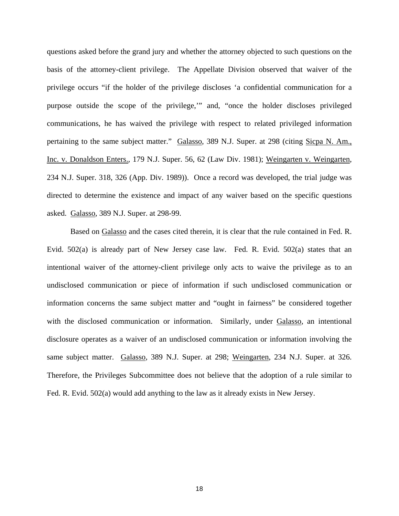questions asked before the grand jury and whether the attorney objected to such questions on the basis of the attorney-client privilege. The Appellate Division observed that waiver of the privilege occurs "if the holder of the privilege discloses 'a confidential communication for a purpose outside the scope of the privilege,'" and, "once the holder discloses privileged communications, he has waived the privilege with respect to related privileged information pertaining to the same subject matter." Galasso, 389 N.J. Super. at 298 (citing Sicpa N. Am., Inc. v. Donaldson Enters., 179 N.J. Super. 56, 62 (Law Div. 1981); Weingarten v. Weingarten, 234 N.J. Super. 318, 326 (App. Div. 1989)). Once a record was developed, the trial judge was directed to determine the existence and impact of any waiver based on the specific questions asked. Galasso, 389 N.J. Super. at 298-99.

 Based on Galasso and the cases cited therein, it is clear that the rule contained in Fed. R. Evid. 502(a) is already part of New Jersey case law. Fed. R. Evid. 502(a) states that an intentional waiver of the attorney-client privilege only acts to waive the privilege as to an undisclosed communication or piece of information if such undisclosed communication or information concerns the same subject matter and "ought in fairness" be considered together with the disclosed communication or information. Similarly, under Galasso, an intentional disclosure operates as a waiver of an undisclosed communication or information involving the same subject matter. Galasso, 389 N.J. Super. at 298; Weingarten, 234 N.J. Super. at 326. Therefore, the Privileges Subcommittee does not believe that the adoption of a rule similar to Fed. R. Evid. 502(a) would add anything to the law as it already exists in New Jersey.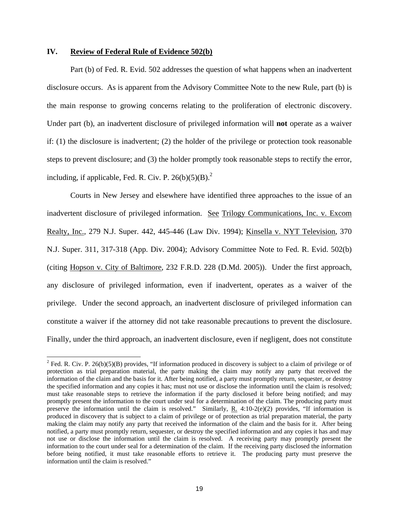#### **IV. Review of Federal Rule of Evidence 502(b)**

 $\overline{a}$ 

 Part (b) of Fed. R. Evid. 502 addresses the question of what happens when an inadvertent disclosure occurs. As is apparent from the Advisory Committee Note to the new Rule, part (b) is the main response to growing concerns relating to the proliferation of electronic discovery. Under part (b), an inadvertent disclosure of privileged information will **not** operate as a waiver if: (1) the disclosure is inadvertent; (2) the holder of the privilege or protection took reasonable steps to prevent disclosure; and (3) the holder promptly took reasonable steps to rectify the error, including, if applicable, Fed. R. Civ. P.  $26(b)(5)(B)^2$ .

 Courts in New Jersey and elsewhere have identified three approaches to the issue of an inadvertent disclosure of privileged information. See Trilogy Communications, Inc. v. Excom Realty, Inc., 279 N.J. Super. 442, 445-446 (Law Div. 1994); Kinsella v. NYT Television, 370 N.J. Super. 311, 317-318 (App. Div. 2004); Advisory Committee Note to Fed. R. Evid. 502(b) (citing Hopson v. City of Baltimore, 232 F.R.D. 228 (D.Md. 2005)). Under the first approach, any disclosure of privileged information, even if inadvertent, operates as a waiver of the privilege. Under the second approach, an inadvertent disclosure of privileged information can constitute a waiver if the attorney did not take reasonable precautions to prevent the disclosure. Finally, under the third approach, an inadvertent disclosure, even if negligent, does not constitute

<sup>&</sup>lt;sup>2</sup> Fed. R. Civ. P. 26(b)(5)(B) provides, "If information produced in discovery is subject to a claim of privilege or of protection as trial preparation material, the party making the claim may notify any party that received the information of the claim and the basis for it. After being notified, a party must promptly return, sequester, or destroy the specified information and any copies it has; must not use or disclose the information until the claim is resolved; must take reasonable steps to retrieve the information if the party disclosed it before being notified; and may promptly present the information to the court under seal for a determination of the claim. The producing party must preserve the information until the claim is resolved." Similarly,  $\underline{R}$ . 4:10-2(e)(2) provides, "If information is produced in discovery that is subject to a claim of privilege or of protection as trial preparation material, the party making the claim may notify any party that received the information of the claim and the basis for it. After being notified, a party must promptly return, sequester, or destroy the specified information and any copies it has and may not use or disclose the information until the claim is resolved. A receiving party may promptly present the information to the court under seal for a determination of the claim. If the receiving party disclosed the information before being notified, it must take reasonable efforts to retrieve it. The producing party must preserve the information until the claim is resolved."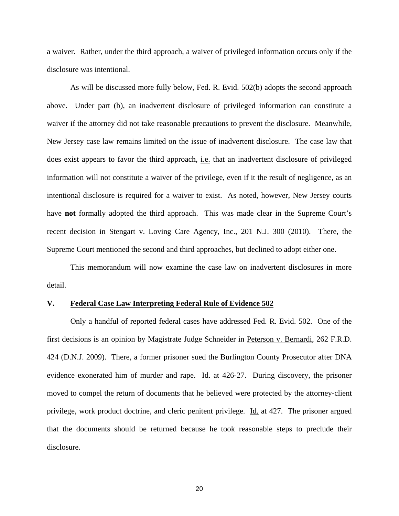a waiver. Rather, under the third approach, a waiver of privileged information occurs only if the disclosure was intentional.

 As will be discussed more fully below, Fed. R. Evid. 502(b) adopts the second approach above. Under part (b), an inadvertent disclosure of privileged information can constitute a waiver if the attorney did not take reasonable precautions to prevent the disclosure. Meanwhile, New Jersey case law remains limited on the issue of inadvertent disclosure. The case law that does exist appears to favor the third approach, i.e. that an inadvertent disclosure of privileged information will not constitute a waiver of the privilege, even if it the result of negligence, as an intentional disclosure is required for a waiver to exist. As noted, however, New Jersey courts have **not** formally adopted the third approach. This was made clear in the Supreme Court's recent decision in Stengart v. Loving Care Agency, Inc., 201 N.J. 300 (2010). There, the Supreme Court mentioned the second and third approaches, but declined to adopt either one.

 This memorandum will now examine the case law on inadvertent disclosures in more detail.

#### **V. Federal Case Law Interpreting Federal Rule of Evidence 502**

 $\overline{\phantom{a}}$ 

 Only a handful of reported federal cases have addressed Fed. R. Evid. 502. One of the first decisions is an opinion by Magistrate Judge Schneider in Peterson v. Bernardi, 262 F.R.D. 424 (D.N.J. 2009). There, a former prisoner sued the Burlington County Prosecutor after DNA evidence exonerated him of murder and rape. Id. at 426-27. During discovery, the prisoner moved to compel the return of documents that he believed were protected by the attorney-client privilege, work product doctrine, and cleric penitent privilege. Id. at 427. The prisoner argued that the documents should be returned because he took reasonable steps to preclude their disclosure.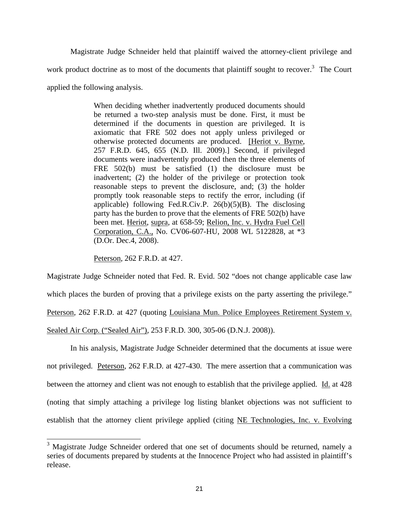Magistrate Judge Schneider held that plaintiff waived the attorney-client privilege and work product doctrine as to most of the documents that plaintiff sought to recover. $3$  The Court applied the following analysis.

> When deciding whether inadvertently produced documents should be returned a two-step analysis must be done. First, it must be determined if the documents in question are privileged. It is axiomatic that FRE 502 does not apply unless privileged or otherwise protected documents are produced. [Heriot v. Byrne, 257 F.R.D. 645, 655 (N.D. Ill. 2009).] Second, if privileged documents were inadvertently produced then the three elements of FRE 502(b) must be satisfied (1) the disclosure must be inadvertent; (2) the holder of the privilege or protection took reasonable steps to prevent the disclosure, and; (3) the holder promptly took reasonable steps to rectify the error, including (if applicable) following Fed.R.Civ.P.  $26(b)(5)(B)$ . The disclosing party has the burden to prove that the elements of FRE 502(b) have been met. Heriot, supra, at 658-59; Relion, Inc. v. Hydra Fuel Cell Corporation, C.A., No. CV06-607-HU, 2008 WL 5122828, at \*3 (D.Or. Dec.4, 2008).

Peterson, 262 F.R.D. at 427.

 $\overline{\phantom{a}}$ 

Magistrate Judge Schneider noted that Fed. R. Evid. 502 "does not change applicable case law which places the burden of proving that a privilege exists on the party asserting the privilege." Peterson, 262 F.R.D. at 427 (quoting Louisiana Mun. Police Employees Retirement System v. Sealed Air Corp. ("Sealed Air"), 253 F.R.D. 300, 305-06 (D.N.J. 2008)).

 In his analysis, Magistrate Judge Schneider determined that the documents at issue were not privileged. Peterson, 262 F.R.D. at 427-430. The mere assertion that a communication was between the attorney and client was not enough to establish that the privilege applied. Id. at 428 (noting that simply attaching a privilege log listing blanket objections was not sufficient to establish that the attorney client privilege applied (citing NE Technologies, Inc. v. Evolving

<sup>&</sup>lt;sup>3</sup> Magistrate Judge Schneider ordered that one set of documents should be returned, namely a series of documents prepared by students at the Innocence Project who had assisted in plaintiff's release.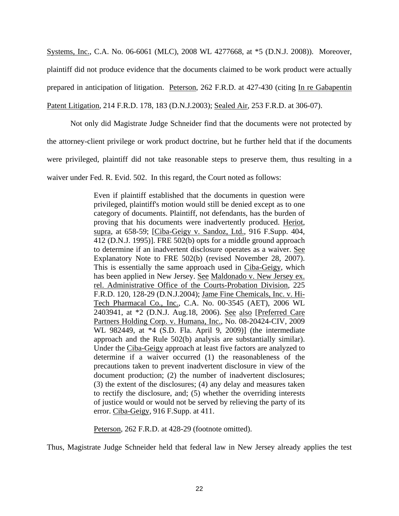Systems, Inc., C.A. No. 06-6061 (MLC), 2008 WL 4277668, at \*5 (D.N.J. 2008)). Moreover, plaintiff did not produce evidence that the documents claimed to be work product were actually prepared in anticipation of litigation. Peterson, 262 F.R.D. at 427-430 (citing In re Gabapentin Patent Litigation, 214 F.R.D. 178, 183 (D.N.J.2003); Sealed Air, 253 F.R.D. at 306-07).

 Not only did Magistrate Judge Schneider find that the documents were not protected by the attorney-client privilege or work product doctrine, but he further held that if the documents were privileged, plaintiff did not take reasonable steps to preserve them, thus resulting in a waiver under Fed. R. Evid. 502. In this regard, the Court noted as follows:

> Even if plaintiff established that the documents in question were privileged, plaintiff's motion would still be denied except as to one category of documents. Plaintiff, not defendants, has the burden of proving that his documents were inadvertently produced. Heriot, supra, at 658-59; [Ciba-Geigy v. Sandoz, Ltd., 916 F.Supp. 404, 412 (D.N.J. 1995)]. FRE 502(b) opts for a middle ground approach to determine if an inadvertent disclosure operates as a waiver. See Explanatory Note to FRE 502(b) (revised November 28, 2007). This is essentially the same approach used in Ciba-Geigy, which has been applied in New Jersey. See Maldonado v. New Jersey ex. rel. Administrative Office of the Courts-Probation Division, 225 F.R.D. 120, 128-29 (D.N.J.2004); Jame Fine Chemicals, Inc. v. Hi-Tech Pharmacal Co., Inc., C.A. No. 00-3545 (AET), 2006 WL 2403941, at \*2 (D.N.J. Aug.18, 2006). See also [Preferred Care Partners Holding Corp. v. Humana, Inc., No. 08-20424-CIV, 2009 WL 982449, at \*4 (S.D. Fla. April 9, 2009)] (the intermediate approach and the Rule 502(b) analysis are substantially similar). Under the Ciba-Geigy approach at least five factors are analyzed to determine if a waiver occurred (1) the reasonableness of the precautions taken to prevent inadvertent disclosure in view of the document production; (2) the number of inadvertent disclosures; (3) the extent of the disclosures; (4) any delay and measures taken to rectify the disclosure, and; (5) whether the overriding interests of justice would or would not be served by relieving the party of its error. Ciba-Geigy, 916 F.Supp. at 411.

Peterson, 262 F.R.D. at 428-29 (footnote omitted).

Thus, Magistrate Judge Schneider held that federal law in New Jersey already applies the test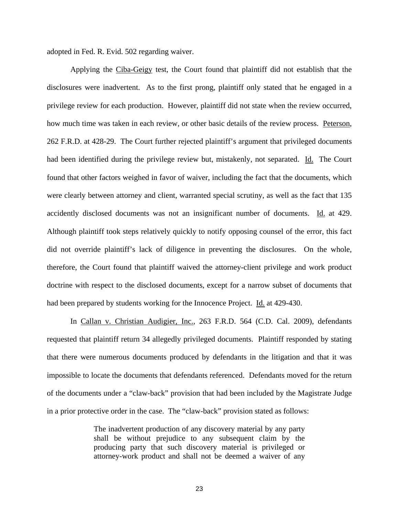adopted in Fed. R. Evid. 502 regarding waiver.

 Applying the Ciba-Geigy test, the Court found that plaintiff did not establish that the disclosures were inadvertent. As to the first prong, plaintiff only stated that he engaged in a privilege review for each production. However, plaintiff did not state when the review occurred, how much time was taken in each review, or other basic details of the review process. Peterson, 262 F.R.D. at 428-29. The Court further rejected plaintiff's argument that privileged documents had been identified during the privilege review but, mistakenly, not separated. Id. The Court found that other factors weighed in favor of waiver, including the fact that the documents, which were clearly between attorney and client, warranted special scrutiny, as well as the fact that 135 accidently disclosed documents was not an insignificant number of documents. Id. at 429. Although plaintiff took steps relatively quickly to notify opposing counsel of the error, this fact did not override plaintiff's lack of diligence in preventing the disclosures. On the whole, therefore, the Court found that plaintiff waived the attorney-client privilege and work product doctrine with respect to the disclosed documents, except for a narrow subset of documents that had been prepared by students working for the Innocence Project. Id. at 429-430.

 In Callan v. Christian Audigier, Inc., 263 F.R.D. 564 (C.D. Cal. 2009), defendants requested that plaintiff return 34 allegedly privileged documents. Plaintiff responded by stating that there were numerous documents produced by defendants in the litigation and that it was impossible to locate the documents that defendants referenced. Defendants moved for the return of the documents under a "claw-back" provision that had been included by the Magistrate Judge in a prior protective order in the case. The "claw-back" provision stated as follows:

> The inadvertent production of any discovery material by any party shall be without prejudice to any subsequent claim by the producing party that such discovery material is privileged or attorney-work product and shall not be deemed a waiver of any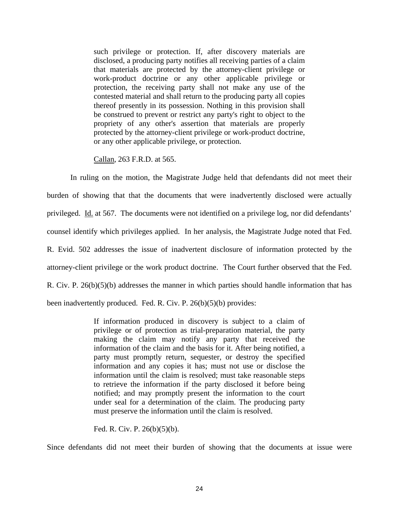such privilege or protection. If, after discovery materials are disclosed, a producing party notifies all receiving parties of a claim that materials are protected by the attorney-client privilege or work-product doctrine or any other applicable privilege or protection, the receiving party shall not make any use of the contested material and shall return to the producing party all copies thereof presently in its possession. Nothing in this provision shall be construed to prevent or restrict any party's right to object to the propriety of any other's assertion that materials are properly protected by the attorney-client privilege or work-product doctrine, or any other applicable privilege, or protection.

Callan, 263 F.R.D. at 565.

 In ruling on the motion, the Magistrate Judge held that defendants did not meet their burden of showing that that the documents that were inadvertently disclosed were actually privileged. Id. at 567. The documents were not identified on a privilege log, nor did defendants' counsel identify which privileges applied. In her analysis, the Magistrate Judge noted that Fed. R. Evid. 502 addresses the issue of inadvertent disclosure of information protected by the attorney-client privilege or the work product doctrine. The Court further observed that the Fed. R. Civ. P.  $26(b)(5)(b)$  addresses the manner in which parties should handle information that has been inadvertently produced. Fed. R. Civ. P. 26(b)(5)(b) provides:

> If information produced in discovery is subject to a claim of privilege or of protection as trial-preparation material, the party making the claim may notify any party that received the information of the claim and the basis for it. After being notified, a party must promptly return, sequester, or destroy the specified information and any copies it has; must not use or disclose the information until the claim is resolved; must take reasonable steps to retrieve the information if the party disclosed it before being notified; and may promptly present the information to the court under seal for a determination of the claim. The producing party must preserve the information until the claim is resolved.

Fed. R. Civ. P. 26(b)(5)(b).

Since defendants did not meet their burden of showing that the documents at issue were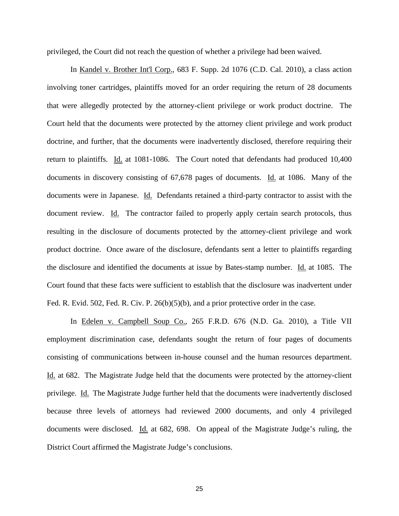privileged, the Court did not reach the question of whether a privilege had been waived.

 In Kandel v. Brother Int'l Corp., 683 F. Supp. 2d 1076 (C.D. Cal. 2010), a class action involving toner cartridges, plaintiffs moved for an order requiring the return of 28 documents that were allegedly protected by the attorney-client privilege or work product doctrine. The Court held that the documents were protected by the attorney client privilege and work product doctrine, and further, that the documents were inadvertently disclosed, therefore requiring their return to plaintiffs. Id. at 1081-1086. The Court noted that defendants had produced 10,400 documents in discovery consisting of 67,678 pages of documents. Id. at 1086. Many of the documents were in Japanese. Id. Defendants retained a third-party contractor to assist with the document review. Id. The contractor failed to properly apply certain search protocols, thus resulting in the disclosure of documents protected by the attorney-client privilege and work product doctrine. Once aware of the disclosure, defendants sent a letter to plaintiffs regarding the disclosure and identified the documents at issue by Bates-stamp number. Id. at 1085. The Court found that these facts were sufficient to establish that the disclosure was inadvertent under Fed. R. Evid. 502, Fed. R. Civ. P. 26(b)(5)(b), and a prior protective order in the case.

In Edelen v. Campbell Soup Co., 265 F.R.D. 676 (N.D. Ga. 2010), a Title VII employment discrimination case, defendants sought the return of four pages of documents consisting of communications between in-house counsel and the human resources department. Id. at 682. The Magistrate Judge held that the documents were protected by the attorney-client privilege. Id. The Magistrate Judge further held that the documents were inadvertently disclosed because three levels of attorneys had reviewed 2000 documents, and only 4 privileged documents were disclosed. Id. at 682, 698. On appeal of the Magistrate Judge's ruling, the District Court affirmed the Magistrate Judge's conclusions.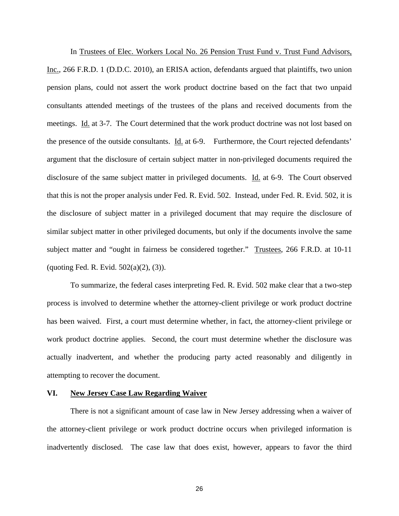In Trustees of Elec. Workers Local No. 26 Pension Trust Fund v. Trust Fund Advisors, Inc., 266 F.R.D. 1 (D.D.C. 2010), an ERISA action, defendants argued that plaintiffs, two union pension plans, could not assert the work product doctrine based on the fact that two unpaid consultants attended meetings of the trustees of the plans and received documents from the meetings. Id. at 3-7. The Court determined that the work product doctrine was not lost based on the presence of the outside consultants. Id. at 6-9. Furthermore, the Court rejected defendants' argument that the disclosure of certain subject matter in non-privileged documents required the disclosure of the same subject matter in privileged documents. Id. at 6-9. The Court observed that this is not the proper analysis under Fed. R. Evid. 502. Instead, under Fed. R. Evid. 502, it is the disclosure of subject matter in a privileged document that may require the disclosure of similar subject matter in other privileged documents, but only if the documents involve the same subject matter and "ought in fairness be considered together." Trustees, 266 F.R.D. at 10-11 (quoting Fed. R. Evid.  $502(a)(2)$ ,  $(3)$ ).

 To summarize, the federal cases interpreting Fed. R. Evid. 502 make clear that a two-step process is involved to determine whether the attorney-client privilege or work product doctrine has been waived. First, a court must determine whether, in fact, the attorney-client privilege or work product doctrine applies. Second, the court must determine whether the disclosure was actually inadvertent, and whether the producing party acted reasonably and diligently in attempting to recover the document.

#### **VI. New Jersey Case Law Regarding Waiver**

 There is not a significant amount of case law in New Jersey addressing when a waiver of the attorney-client privilege or work product doctrine occurs when privileged information is inadvertently disclosed. The case law that does exist, however, appears to favor the third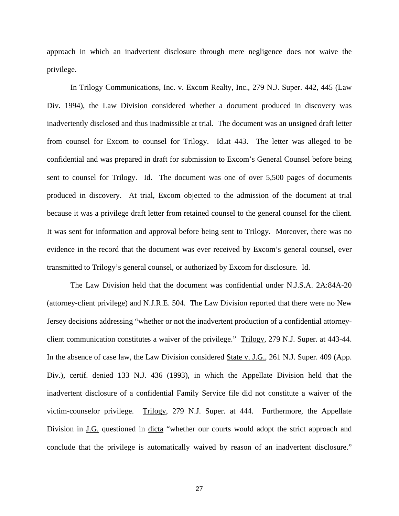approach in which an inadvertent disclosure through mere negligence does not waive the privilege.

 In Trilogy Communications, Inc. v. Excom Realty, Inc., 279 N.J. Super. 442, 445 (Law Div. 1994), the Law Division considered whether a document produced in discovery was inadvertently disclosed and thus inadmissible at trial. The document was an unsigned draft letter from counsel for Excom to counsel for Trilogy. Id.at 443. The letter was alleged to be confidential and was prepared in draft for submission to Excom's General Counsel before being sent to counsel for Trilogy. Id. The document was one of over 5,500 pages of documents produced in discovery. At trial, Excom objected to the admission of the document at trial because it was a privilege draft letter from retained counsel to the general counsel for the client. It was sent for information and approval before being sent to Trilogy. Moreover, there was no evidence in the record that the document was ever received by Excom's general counsel, ever transmitted to Trilogy's general counsel, or authorized by Excom for disclosure. Id.

 The Law Division held that the document was confidential under N.J.S.A. 2A:84A-20 (attorney-client privilege) and N.J.R.E. 504. The Law Division reported that there were no New Jersey decisions addressing "whether or not the inadvertent production of a confidential attorneyclient communication constitutes a waiver of the privilege." Trilogy, 279 N.J. Super. at 443-44. In the absence of case law, the Law Division considered State v. J.G., 261 N.J. Super. 409 (App. Div.), certif. denied 133 N.J. 436 (1993), in which the Appellate Division held that the inadvertent disclosure of a confidential Family Service file did not constitute a waiver of the victim-counselor privilege. Trilogy, 279 N.J. Super. at 444. Furthermore, the Appellate Division in <u>J.G.</u> questioned in dicta "whether our courts would adopt the strict approach and conclude that the privilege is automatically waived by reason of an inadvertent disclosure."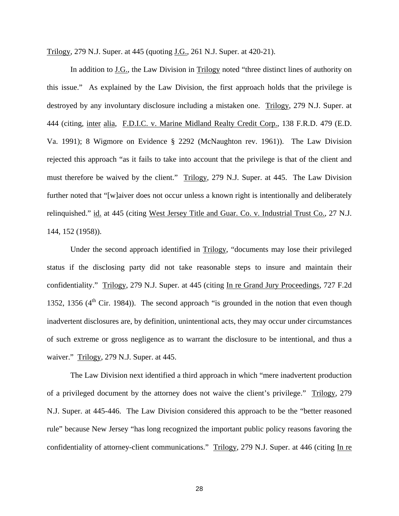Trilogy, 279 N.J. Super. at 445 (quoting J.G., 261 N.J. Super. at 420-21).

 In addition to J.G., the Law Division in Trilogy noted "three distinct lines of authority on this issue." As explained by the Law Division, the first approach holds that the privilege is destroyed by any involuntary disclosure including a mistaken one. Trilogy, 279 N.J. Super. at 444 (citing, inter alia, F.D.I.C. v. Marine Midland Realty Credit Corp., 138 F.R.D. 479 (E.D. Va. 1991); 8 Wigmore on Evidence § 2292 (McNaughton rev. 1961)). The Law Division rejected this approach "as it fails to take into account that the privilege is that of the client and must therefore be waived by the client." Trilogy, 279 N.J. Super. at 445. The Law Division further noted that "[w]aiver does not occur unless a known right is intentionally and deliberately relinquished." id. at 445 (citing West Jersey Title and Guar. Co. v. Industrial Trust Co., 27 N.J. 144, 152 (1958)).

 Under the second approach identified in Trilogy, "documents may lose their privileged status if the disclosing party did not take reasonable steps to insure and maintain their confidentiality." Trilogy, 279 N.J. Super. at 445 (citing In re Grand Jury Proceedings, 727 F.2d 1352, 1356  $(4<sup>th</sup> Cir. 1984)$ ). The second approach "is grounded in the notion that even though inadvertent disclosures are, by definition, unintentional acts, they may occur under circumstances of such extreme or gross negligence as to warrant the disclosure to be intentional, and thus a waiver." Trilogy, 279 N.J. Super. at 445.

 The Law Division next identified a third approach in which "mere inadvertent production of a privileged document by the attorney does not waive the client's privilege." Trilogy, 279 N.J. Super. at 445-446. The Law Division considered this approach to be the "better reasoned rule" because New Jersey "has long recognized the important public policy reasons favoring the confidentiality of attorney-client communications." Trilogy, 279 N.J. Super. at 446 (citing In re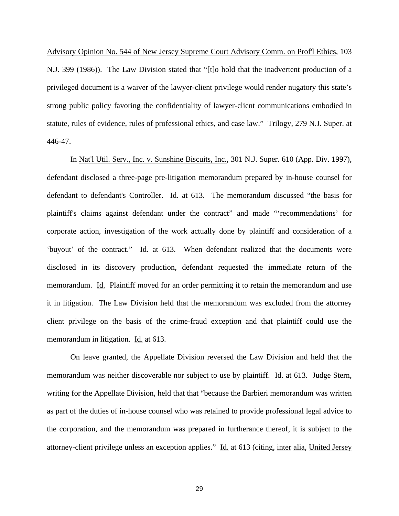Advisory Opinion No. 544 of New Jersey Supreme Court Advisory Comm. on Prof'l Ethics, 103 N.J. 399 (1986)). The Law Division stated that "[t]o hold that the inadvertent production of a privileged document is a waiver of the lawyer-client privilege would render nugatory this state's strong public policy favoring the confidentiality of lawyer-client communications embodied in statute, rules of evidence, rules of professional ethics, and case law." Trilogy, 279 N.J. Super. at 446-47.

 In Nat'l Util. Serv., Inc. v. Sunshine Biscuits, Inc., 301 N.J. Super. 610 (App. Div. 1997), defendant disclosed a three-page pre-litigation memorandum prepared by in-house counsel for defendant to defendant's Controller. Id. at 613. The memorandum discussed "the basis for plaintiff's claims against defendant under the contract" and made "'recommendations' for corporate action, investigation of the work actually done by plaintiff and consideration of a 'buyout' of the contract." Id. at 613. When defendant realized that the documents were disclosed in its discovery production, defendant requested the immediate return of the memorandum. Id. Plaintiff moved for an order permitting it to retain the memorandum and use it in litigation. The Law Division held that the memorandum was excluded from the attorney client privilege on the basis of the crime-fraud exception and that plaintiff could use the memorandum in litigation. Id. at 613.

 On leave granted, the Appellate Division reversed the Law Division and held that the memorandum was neither discoverable nor subject to use by plaintiff. <u>Id.</u> at 613. Judge Stern, writing for the Appellate Division, held that that "because the Barbieri memorandum was written as part of the duties of in-house counsel who was retained to provide professional legal advice to the corporation, and the memorandum was prepared in furtherance thereof, it is subject to the attorney-client privilege unless an exception applies." Id. at 613 (citing, inter alia, United Jersey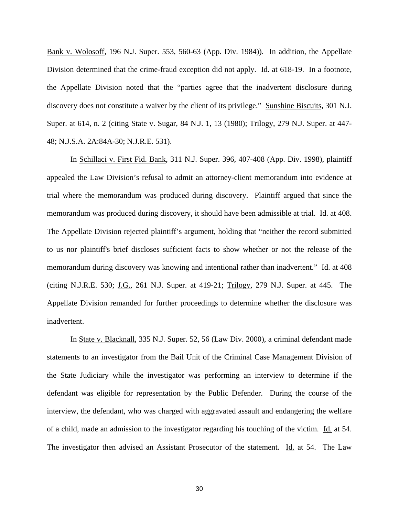Bank v. Wolosoff, 196 N.J. Super. 553, 560-63 (App. Div. 1984)). In addition, the Appellate Division determined that the crime-fraud exception did not apply. Id. at 618-19. In a footnote, the Appellate Division noted that the "parties agree that the inadvertent disclosure during discovery does not constitute a waiver by the client of its privilege." Sunshine Biscuits, 301 N.J. Super. at 614, n. 2 (citing State v. Sugar, 84 N.J. 1, 13 (1980); Trilogy, 279 N.J. Super. at 447- 48; N.J.S.A. 2A:84A-30; N.J.R.E. 531).

 In Schillaci v. First Fid. Bank, 311 N.J. Super. 396, 407-408 (App. Div. 1998), plaintiff appealed the Law Division's refusal to admit an attorney-client memorandum into evidence at trial where the memorandum was produced during discovery. Plaintiff argued that since the memorandum was produced during discovery, it should have been admissible at trial. Id. at 408. The Appellate Division rejected plaintiff's argument, holding that "neither the record submitted to us nor plaintiff's brief discloses sufficient facts to show whether or not the release of the memorandum during discovery was knowing and intentional rather than inadvertent." Id. at 408 (citing N.J.R.E. 530;  $J.G., 261$  N.J. Super. at 419-21;  $Trilogy, 279$  N.J. Super. at 445. The Appellate Division remanded for further proceedings to determine whether the disclosure was inadvertent.

 In State v. Blacknall, 335 N.J. Super. 52, 56 (Law Div. 2000), a criminal defendant made statements to an investigator from the Bail Unit of the Criminal Case Management Division of the State Judiciary while the investigator was performing an interview to determine if the defendant was eligible for representation by the Public Defender. During the course of the interview, the defendant, who was charged with aggravated assault and endangering the welfare of a child, made an admission to the investigator regarding his touching of the victim. Id. at 54. The investigator then advised an Assistant Prosecutor of the statement. Id. at 54. The Law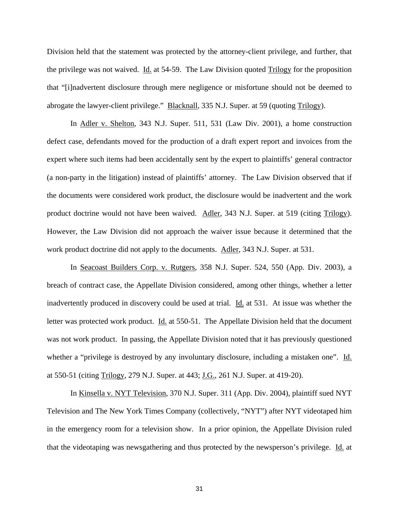Division held that the statement was protected by the attorney-client privilege, and further, that the privilege was not waived. Id. at 54-59. The Law Division quoted Trilogy for the proposition that "[i]nadvertent disclosure through mere negligence or misfortune should not be deemed to abrogate the lawyer-client privilege." Blacknall, 335 N.J. Super. at 59 (quoting Trilogy).

 In Adler v. Shelton, 343 N.J. Super. 511, 531 (Law Div. 2001), a home construction defect case, defendants moved for the production of a draft expert report and invoices from the expert where such items had been accidentally sent by the expert to plaintiffs' general contractor (a non-party in the litigation) instead of plaintiffs' attorney. The Law Division observed that if the documents were considered work product, the disclosure would be inadvertent and the work product doctrine would not have been waived. Adler, 343 N.J. Super. at 519 (citing Trilogy). However, the Law Division did not approach the waiver issue because it determined that the work product doctrine did not apply to the documents. Adler, 343 N.J. Super. at 531.

 In Seacoast Builders Corp. v. Rutgers, 358 N.J. Super. 524, 550 (App. Div. 2003), a breach of contract case, the Appellate Division considered, among other things, whether a letter inadvertently produced in discovery could be used at trial. Id. at 531. At issue was whether the letter was protected work product. Id. at 550-51. The Appellate Division held that the document was not work product. In passing, the Appellate Division noted that it has previously questioned whether a "privilege is destroyed by any involuntary disclosure, including a mistaken one". Id. at 550-51 (citing Trilogy, 279 N.J. Super. at 443; J.G., 261 N.J. Super. at 419-20).

 In Kinsella v. NYT Television, 370 N.J. Super. 311 (App. Div. 2004), plaintiff sued NYT Television and The New York Times Company (collectively, "NYT") after NYT videotaped him in the emergency room for a television show. In a prior opinion, the Appellate Division ruled that the videotaping was newsgathering and thus protected by the newsperson's privilege. Id. at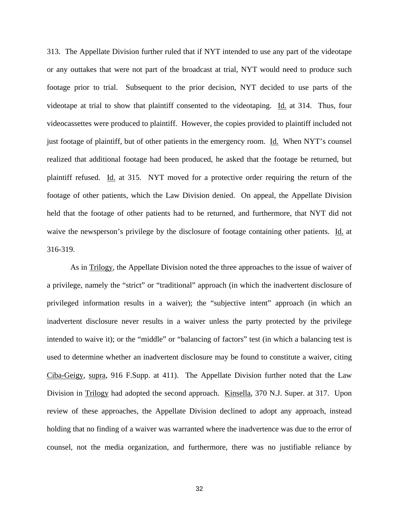313. The Appellate Division further ruled that if NYT intended to use any part of the videotape or any outtakes that were not part of the broadcast at trial, NYT would need to produce such footage prior to trial. Subsequent to the prior decision, NYT decided to use parts of the videotape at trial to show that plaintiff consented to the videotaping. Id. at 314. Thus, four videocassettes were produced to plaintiff. However, the copies provided to plaintiff included not just footage of plaintiff, but of other patients in the emergency room. Id. When NYT's counsel realized that additional footage had been produced, he asked that the footage be returned, but plaintiff refused. Id. at 315. NYT moved for a protective order requiring the return of the footage of other patients, which the Law Division denied. On appeal, the Appellate Division held that the footage of other patients had to be returned, and furthermore, that NYT did not waive the newsperson's privilege by the disclosure of footage containing other patients. Id. at 316-319.

 As in Trilogy, the Appellate Division noted the three approaches to the issue of waiver of a privilege, namely the "strict" or "traditional" approach (in which the inadvertent disclosure of privileged information results in a waiver); the "subjective intent" approach (in which an inadvertent disclosure never results in a waiver unless the party protected by the privilege intended to waive it); or the "middle" or "balancing of factors" test (in which a balancing test is used to determine whether an inadvertent disclosure may be found to constitute a waiver, citing Ciba-Geigy, supra, 916 F.Supp. at 411). The Appellate Division further noted that the Law Division in Trilogy had adopted the second approach. Kinsella, 370 N.J. Super. at 317. Upon review of these approaches, the Appellate Division declined to adopt any approach, instead holding that no finding of a waiver was warranted where the inadvertence was due to the error of counsel, not the media organization, and furthermore, there was no justifiable reliance by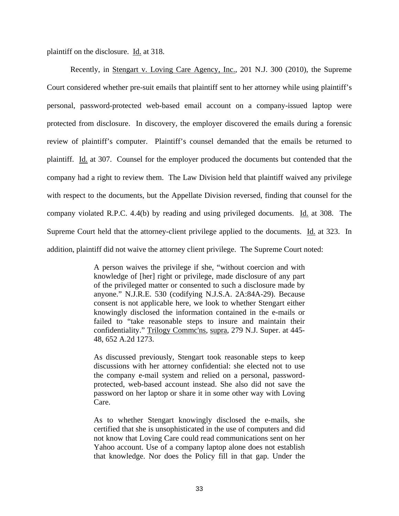plaintiff on the disclosure. Id. at 318.

 Recently, in Stengart v. Loving Care Agency, Inc., 201 N.J. 300 (2010), the Supreme Court considered whether pre-suit emails that plaintiff sent to her attorney while using plaintiff's personal, password-protected web-based email account on a company-issued laptop were protected from disclosure. In discovery, the employer discovered the emails during a forensic review of plaintiff's computer. Plaintiff's counsel demanded that the emails be returned to plaintiff. Id. at 307. Counsel for the employer produced the documents but contended that the company had a right to review them. The Law Division held that plaintiff waived any privilege with respect to the documents, but the Appellate Division reversed, finding that counsel for the company violated R.P.C. 4.4(b) by reading and using privileged documents. Id. at 308. The Supreme Court held that the attorney-client privilege applied to the documents. Id. at 323. In addition, plaintiff did not waive the attorney client privilege. The Supreme Court noted:

> A person waives the privilege if she, "without coercion and with knowledge of [her] right or privilege, made disclosure of any part of the privileged matter or consented to such a disclosure made by anyone." N.J.R.E. 530 (codifying N.J.S.A. 2A:84A-29). Because consent is not applicable here, we look to whether Stengart either knowingly disclosed the information contained in the e-mails or failed to "take reasonable steps to insure and maintain their confidentiality." Trilogy Commc'ns, supra, 279 N.J. Super. at 445- 48, 652 A.2d 1273.

> As discussed previously, Stengart took reasonable steps to keep discussions with her attorney confidential: she elected not to use the company e-mail system and relied on a personal, passwordprotected, web-based account instead. She also did not save the password on her laptop or share it in some other way with Loving Care.

> As to whether Stengart knowingly disclosed the e-mails, she certified that she is unsophisticated in the use of computers and did not know that Loving Care could read communications sent on her Yahoo account. Use of a company laptop alone does not establish that knowledge. Nor does the Policy fill in that gap. Under the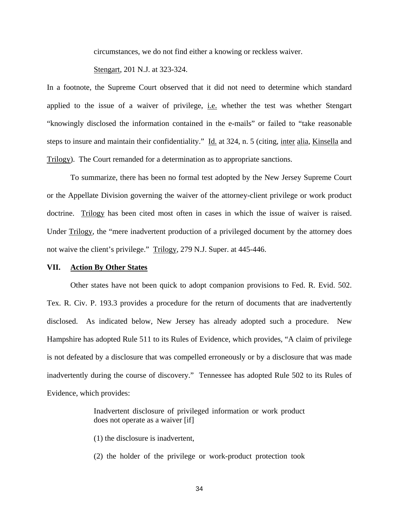circumstances, we do not find either a knowing or reckless waiver.

Stengart, 201 N.J. at 323-324.

In a footnote, the Supreme Court observed that it did not need to determine which standard applied to the issue of a waiver of privilege, i.e. whether the test was whether Stengart "knowingly disclosed the information contained in the e-mails" or failed to "take reasonable steps to insure and maintain their confidentiality." Id. at 324, n. 5 (citing, inter alia, Kinsella and Trilogy). The Court remanded for a determination as to appropriate sanctions.

 To summarize, there has been no formal test adopted by the New Jersey Supreme Court or the Appellate Division governing the waiver of the attorney-client privilege or work product doctrine. Trilogy has been cited most often in cases in which the issue of waiver is raised. Under Trilogy, the "mere inadvertent production of a privileged document by the attorney does not waive the client's privilege." Trilogy, 279 N.J. Super. at 445-446.

#### **VII. Action By Other States**

Other states have not been quick to adopt companion provisions to Fed. R. Evid. 502. Tex. R. Civ. P. 193.3 provides a procedure for the return of documents that are inadvertently disclosed. As indicated below, New Jersey has already adopted such a procedure. New Hampshire has adopted Rule 511 to its Rules of Evidence, which provides, "A claim of privilege is not defeated by a disclosure that was compelled erroneously or by a disclosure that was made inadvertently during the course of discovery." Tennessee has adopted Rule 502 to its Rules of Evidence, which provides:

> Inadvertent disclosure of privileged information or work product does not operate as a waiver [if]

(1) the disclosure is inadvertent,

(2) the holder of the privilege or work-product protection took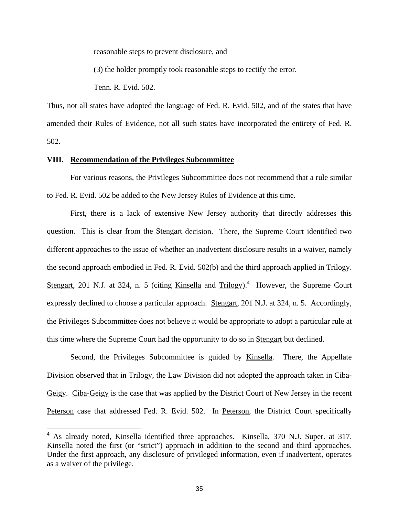reasonable steps to prevent disclosure, and

(3) the holder promptly took reasonable steps to rectify the error.

Tenn. R. Evid. 502.

Thus, not all states have adopted the language of Fed. R. Evid. 502, and of the states that have amended their Rules of Evidence, not all such states have incorporated the entirety of Fed. R. 502.

#### **VIII. Recommendation of the Privileges Subcommittee**

 For various reasons, the Privileges Subcommittee does not recommend that a rule similar to Fed. R. Evid. 502 be added to the New Jersey Rules of Evidence at this time.

 First, there is a lack of extensive New Jersey authority that directly addresses this question. This is clear from the Stengart decision. There, the Supreme Court identified two different approaches to the issue of whether an inadvertent disclosure results in a waiver, namely the second approach embodied in Fed. R. Evid. 502(b) and the third approach applied in Trilogy. Stengart, 201 N.J. at 324, n. 5 (citing Kinsella and Trilogy).<sup>4</sup> However, the Supreme Court expressly declined to choose a particular approach. Stengart, 201 N.J. at 324, n. 5. Accordingly, the Privileges Subcommittee does not believe it would be appropriate to adopt a particular rule at this time where the Supreme Court had the opportunity to do so in Stengart but declined.

 Second, the Privileges Subcommittee is guided by Kinsella. There, the Appellate Division observed that in Trilogy, the Law Division did not adopted the approach taken in Ciba-Geigy. Ciba-Geigy is the case that was applied by the District Court of New Jersey in the recent Peterson case that addressed Fed. R. Evid. 502. In Peterson, the District Court specifically

<sup>&</sup>lt;sup>4</sup> As already noted, <u>Kinsella</u> identified three approaches. Kinsella, 370 N.J. Super. at 317. Kinsella noted the first (or "strict") approach in addition to the second and third approaches. Under the first approach, any disclosure of privileged information, even if inadvertent, operates as a waiver of the privilege.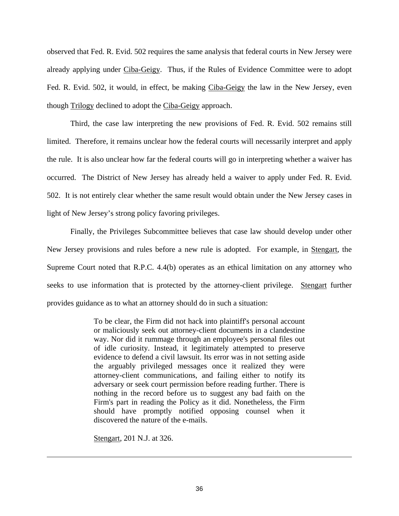observed that Fed. R. Evid. 502 requires the same analysis that federal courts in New Jersey were already applying under Ciba-Geigy. Thus, if the Rules of Evidence Committee were to adopt Fed. R. Evid. 502, it would, in effect, be making Ciba-Geigy the law in the New Jersey, even though Trilogy declined to adopt the Ciba-Geigy approach.

 Third, the case law interpreting the new provisions of Fed. R. Evid. 502 remains still limited. Therefore, it remains unclear how the federal courts will necessarily interpret and apply the rule. It is also unclear how far the federal courts will go in interpreting whether a waiver has occurred. The District of New Jersey has already held a waiver to apply under Fed. R. Evid. 502. It is not entirely clear whether the same result would obtain under the New Jersey cases in light of New Jersey's strong policy favoring privileges.

 Finally, the Privileges Subcommittee believes that case law should develop under other New Jersey provisions and rules before a new rule is adopted. For example, in Stengart, the Supreme Court noted that R.P.C. 4.4(b) operates as an ethical limitation on any attorney who seeks to use information that is protected by the attorney-client privilege. Stengart further provides guidance as to what an attorney should do in such a situation:

> To be clear, the Firm did not hack into plaintiff's personal account or maliciously seek out attorney-client documents in a clandestine way. Nor did it rummage through an employee's personal files out of idle curiosity. Instead, it legitimately attempted to preserve evidence to defend a civil lawsuit. Its error was in not setting aside the arguably privileged messages once it realized they were attorney-client communications, and failing either to notify its adversary or seek court permission before reading further. There is nothing in the record before us to suggest any bad faith on the Firm's part in reading the Policy as it did. Nonetheless, the Firm should have promptly notified opposing counsel when it discovered the nature of the e-mails.

Stengart, 201 N.J. at 326.

 $\overline{\phantom{a}}$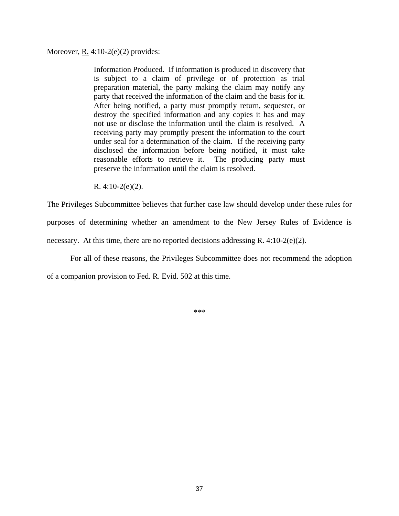#### Moreover,  $R_2$  4:10-2(e)(2) provides:

Information Produced. If information is produced in discovery that is subject to a claim of privilege or of protection as trial preparation material, the party making the claim may notify any party that received the information of the claim and the basis for it. After being notified, a party must promptly return, sequester, or destroy the specified information and any copies it has and may not use or disclose the information until the claim is resolved. A receiving party may promptly present the information to the court under seal for a determination of the claim. If the receiving party disclosed the information before being notified, it must take reasonable efforts to retrieve it. The producing party must preserve the information until the claim is resolved.

R.  $4:10-2(e)(2)$ .

The Privileges Subcommittee believes that further case law should develop under these rules for purposes of determining whether an amendment to the New Jersey Rules of Evidence is necessary. At this time, there are no reported decisions addressing R.  $4:10-2(e)(2)$ .

For all of these reasons, the Privileges Subcommittee does not recommend the adoption

of a companion provision to Fed. R. Evid. 502 at this time.

\*\*\*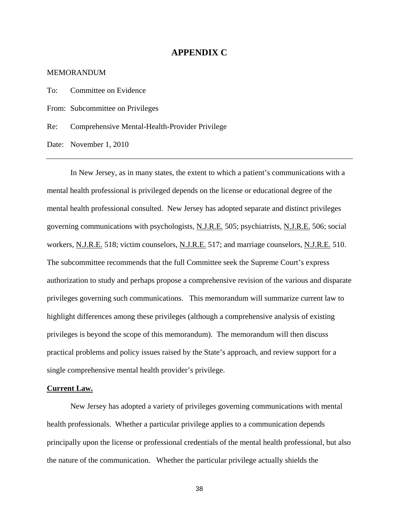## **APPENDIX C**

#### MEMORANDUM

To: Committee on Evidence

From: Subcommittee on Privileges

Re: Comprehensive Mental-Health-Provider Privilege

Date: November 1, 2010

In New Jersey, as in many states, the extent to which a patient's communications with a mental health professional is privileged depends on the license or educational degree of the mental health professional consulted. New Jersey has adopted separate and distinct privileges governing communications with psychologists, N.J.R.E. 505; psychiatrists, N.J.R.E. 506; social workers, N.J.R.E. 518; victim counselors, N.J.R.E. 517; and marriage counselors, N.J.R.E. 510. The subcommittee recommends that the full Committee seek the Supreme Court's express authorization to study and perhaps propose a comprehensive revision of the various and disparate privileges governing such communications. This memorandum will summarize current law to highlight differences among these privileges (although a comprehensive analysis of existing privileges is beyond the scope of this memorandum). The memorandum will then discuss practical problems and policy issues raised by the State's approach, and review support for a single comprehensive mental health provider's privilege.

#### **Current Law.**

New Jersey has adopted a variety of privileges governing communications with mental health professionals. Whether a particular privilege applies to a communication depends principally upon the license or professional credentials of the mental health professional, but also the nature of the communication. Whether the particular privilege actually shields the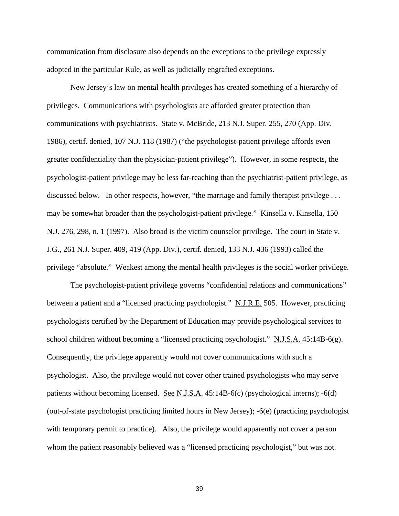communication from disclosure also depends on the exceptions to the privilege expressly adopted in the particular Rule, as well as judicially engrafted exceptions.

New Jersey's law on mental health privileges has created something of a hierarchy of privileges. Communications with psychologists are afforded greater protection than communications with psychiatrists. State v. McBride, 213 N.J. Super. 255, 270 (App. Div. 1986), certif. denied, 107 N.J. 118 (1987) ("the psychologist-patient privilege affords even greater confidentiality than the physician-patient privilege"). However, in some respects, the psychologist-patient privilege may be less far-reaching than the psychiatrist-patient privilege, as discussed below. In other respects, however, "the marriage and family therapist privilege ... may be somewhat broader than the psychologist-patient privilege." Kinsella v. Kinsella, 150 N.J. 276, 298, n. 1 (1997). Also broad is the victim counselor privilege. The court in State v. J.G., 261 N.J. Super. 409, 419 (App. Div.), certif. denied, 133 N.J. 436 (1993) called the privilege "absolute." Weakest among the mental health privileges is the social worker privilege.

The psychologist-patient privilege governs "confidential relations and communications" between a patient and a "licensed practicing psychologist." N.J.R.E. 505. However, practicing psychologists certified by the Department of Education may provide psychological services to school children without becoming a "licensed practicing psychologist." N.J.S.A. 45:14B-6(g). Consequently, the privilege apparently would not cover communications with such a psychologist. Also, the privilege would not cover other trained psychologists who may serve patients without becoming licensed. See N.J.S.A.  $45:14B-6(c)$  (psychological interns);  $-6(d)$ (out-of-state psychologist practicing limited hours in New Jersey); -6(e) (practicing psychologist with temporary permit to practice). Also, the privilege would apparently not cover a person whom the patient reasonably believed was a "licensed practicing psychologist," but was not.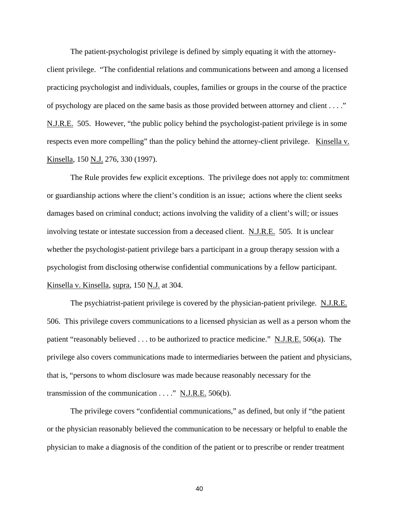The patient-psychologist privilege is defined by simply equating it with the attorney-

client privilege. "The confidential relations and communications between and among a licensed practicing psychologist and individuals, couples, families or groups in the course of the practice of psychology are placed on the same basis as those provided between attorney and client . . . ." N.J.R.E. 505. However, "the public policy behind the psychologist-patient privilege is in some respects even more compelling" than the policy behind the attorney-client privilege. Kinsella v. Kinsella, 150 N.J. 276, 330 (1997).

The Rule provides few explicit exceptions. The privilege does not apply to: commitment or guardianship actions where the client's condition is an issue; actions where the client seeks damages based on criminal conduct; actions involving the validity of a client's will; or issues involving testate or intestate succession from a deceased client. N.J.R.E. 505. It is unclear whether the psychologist-patient privilege bars a participant in a group therapy session with a psychologist from disclosing otherwise confidential communications by a fellow participant. Kinsella v. Kinsella, supra, 150 N.J. at 304.

The psychiatrist-patient privilege is covered by the physician-patient privilege. N.J.R.E. 506. This privilege covers communications to a licensed physician as well as a person whom the patient "reasonably believed . . . to be authorized to practice medicine." N.J.R.E. 506(a). The privilege also covers communications made to intermediaries between the patient and physicians, that is, "persons to whom disclosure was made because reasonably necessary for the transmission of the communication  $\dots$ ." N.J.R.E. 506(b).

The privilege covers "confidential communications," as defined, but only if "the patient or the physician reasonably believed the communication to be necessary or helpful to enable the physician to make a diagnosis of the condition of the patient or to prescribe or render treatment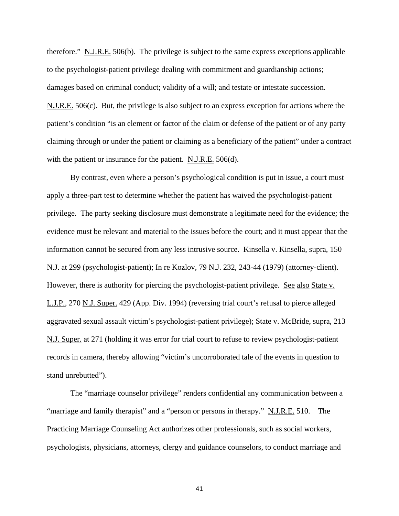therefore." N.J.R.E. 506(b). The privilege is subject to the same express exceptions applicable to the psychologist-patient privilege dealing with commitment and guardianship actions; damages based on criminal conduct; validity of a will; and testate or intestate succession. N.J.R.E. 506(c). But, the privilege is also subject to an express exception for actions where the patient's condition "is an element or factor of the claim or defense of the patient or of any party claiming through or under the patient or claiming as a beneficiary of the patient" under a contract with the patient or insurance for the patient. N.J.R.E. 506(d).

By contrast, even where a person's psychological condition is put in issue, a court must apply a three-part test to determine whether the patient has waived the psychologist-patient privilege. The party seeking disclosure must demonstrate a legitimate need for the evidence; the evidence must be relevant and material to the issues before the court; and it must appear that the information cannot be secured from any less intrusive source. Kinsella v. Kinsella, supra, 150 N.J. at 299 (psychologist-patient); In re Kozlov, 79 N.J. 232, 243-44 (1979) (attorney-client). However, there is authority for piercing the psychologist-patient privilege. See also State v. L.J.P., 270 N.J. Super. 429 (App. Div. 1994) (reversing trial court's refusal to pierce alleged aggravated sexual assault victim's psychologist-patient privilege); State v. McBride, supra, 213 N.J. Super. at 271 (holding it was error for trial court to refuse to review psychologist-patient records in camera, thereby allowing "victim's uncorroborated tale of the events in question to stand unrebutted").

The "marriage counselor privilege" renders confidential any communication between a "marriage and family therapist" and a "person or persons in therapy." N.J.R.E. 510. The Practicing Marriage Counseling Act authorizes other professionals, such as social workers, psychologists, physicians, attorneys, clergy and guidance counselors, to conduct marriage and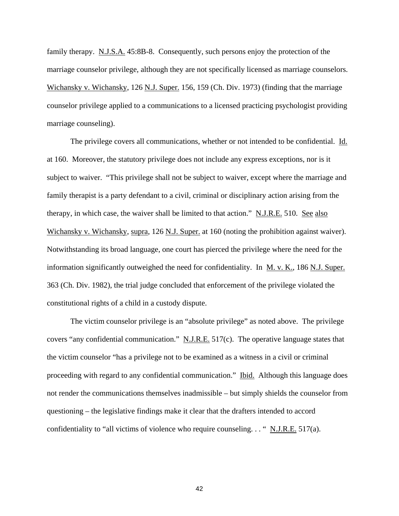family therapy. N.J.S.A. 45:8B-8. Consequently, such persons enjoy the protection of the marriage counselor privilege, although they are not specifically licensed as marriage counselors. Wichansky v. Wichansky, 126 N.J. Super. 156, 159 (Ch. Div. 1973) (finding that the marriage counselor privilege applied to a communications to a licensed practicing psychologist providing marriage counseling).

The privilege covers all communications, whether or not intended to be confidential. Id. at 160. Moreover, the statutory privilege does not include any express exceptions, nor is it subject to waiver. "This privilege shall not be subject to waiver, except where the marriage and family therapist is a party defendant to a civil, criminal or disciplinary action arising from the therapy, in which case, the waiver shall be limited to that action." N.J.R.E. 510. See also Wichansky v. Wichansky, supra, 126 N.J. Super. at 160 (noting the prohibition against waiver). Notwithstanding its broad language, one court has pierced the privilege where the need for the information significantly outweighed the need for confidentiality. In M. v. K., 186 N.J. Super. 363 (Ch. Div. 1982), the trial judge concluded that enforcement of the privilege violated the constitutional rights of a child in a custody dispute.

The victim counselor privilege is an "absolute privilege" as noted above. The privilege covers "any confidential communication." N.J.R.E. 517(c). The operative language states that the victim counselor "has a privilege not to be examined as a witness in a civil or criminal proceeding with regard to any confidential communication." Ibid. Although this language does not render the communications themselves inadmissible – but simply shields the counselor from questioning – the legislative findings make it clear that the drafters intended to accord confidentiality to "all victims of violence who require counseling. . . " N.J.R.E. 517(a).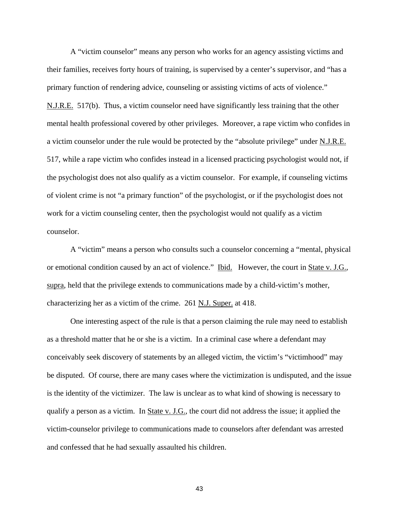A "victim counselor" means any person who works for an agency assisting victims and their families, receives forty hours of training, is supervised by a center's supervisor, and "has a primary function of rendering advice, counseling or assisting victims of acts of violence." N.J.R.E. 517(b). Thus, a victim counselor need have significantly less training that the other mental health professional covered by other privileges. Moreover, a rape victim who confides in a victim counselor under the rule would be protected by the "absolute privilege" under N.J.R.E. 517, while a rape victim who confides instead in a licensed practicing psychologist would not, if the psychologist does not also qualify as a victim counselor. For example, if counseling victims of violent crime is not "a primary function" of the psychologist, or if the psychologist does not work for a victim counseling center, then the psychologist would not qualify as a victim counselor.

A "victim" means a person who consults such a counselor concerning a "mental, physical or emotional condition caused by an act of violence." Ibid. However, the court in State v. J.G., supra, held that the privilege extends to communications made by a child-victim's mother, characterizing her as a victim of the crime. 261 N.J. Super. at 418.

One interesting aspect of the rule is that a person claiming the rule may need to establish as a threshold matter that he or she is a victim. In a criminal case where a defendant may conceivably seek discovery of statements by an alleged victim, the victim's "victimhood" may be disputed. Of course, there are many cases where the victimization is undisputed, and the issue is the identity of the victimizer. The law is unclear as to what kind of showing is necessary to qualify a person as a victim. In State v. J.G., the court did not address the issue; it applied the victim-counselor privilege to communications made to counselors after defendant was arrested and confessed that he had sexually assaulted his children.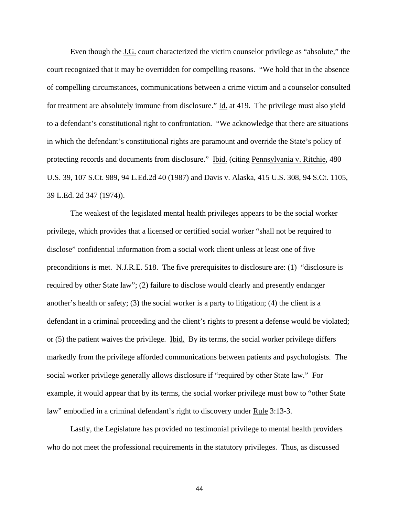Even though the J.G. court characterized the victim counselor privilege as "absolute," the court recognized that it may be overridden for compelling reasons. "We hold that in the absence of compelling circumstances, communications between a crime victim and a counselor consulted for treatment are absolutely immune from disclosure." Id. at 419. The privilege must also yield to a defendant's constitutional right to confrontation. "We acknowledge that there are situations in which the defendant's constitutional rights are paramount and override the State's policy of protecting records and documents from disclosure." Ibid. (citing Pennsylvania v. Ritchie, 480 U.S. 39, 107 S.Ct. 989, 94 L.Ed.2d 40 (1987) and Davis v. Alaska, 415 U.S. 308, 94 S.Ct. 1105, 39 L.Ed. 2d 347 (1974)).

The weakest of the legislated mental health privileges appears to be the social worker privilege, which provides that a licensed or certified social worker "shall not be required to disclose" confidential information from a social work client unless at least one of five preconditions is met. N.J.R.E. 518. The five prerequisites to disclosure are: (1) "disclosure is required by other State law"; (2) failure to disclose would clearly and presently endanger another's health or safety; (3) the social worker is a party to litigation; (4) the client is a defendant in a criminal proceeding and the client's rights to present a defense would be violated; or (5) the patient waives the privilege. Ibid. By its terms, the social worker privilege differs markedly from the privilege afforded communications between patients and psychologists. The social worker privilege generally allows disclosure if "required by other State law." For example, it would appear that by its terms, the social worker privilege must bow to "other State law" embodied in a criminal defendant's right to discovery under Rule 3:13-3.

Lastly, the Legislature has provided no testimonial privilege to mental health providers who do not meet the professional requirements in the statutory privileges. Thus, as discussed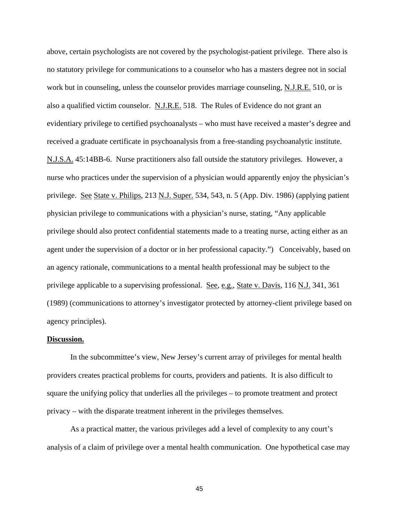above, certain psychologists are not covered by the psychologist-patient privilege. There also is no statutory privilege for communications to a counselor who has a masters degree not in social work but in counseling, unless the counselor provides marriage counseling, N.J.R.E. 510, or is also a qualified victim counselor. N.J.R.E. 518. The Rules of Evidence do not grant an evidentiary privilege to certified psychoanalysts – who must have received a master's degree and received a graduate certificate in psychoanalysis from a free-standing psychoanalytic institute. N.J.S.A. 45:14BB-6. Nurse practitioners also fall outside the statutory privileges. However, a nurse who practices under the supervision of a physician would apparently enjoy the physician's privilege. See State v. Philips, 213 N.J. Super. 534, 543, n. 5 (App. Div. 1986) (applying patient physician privilege to communications with a physician's nurse, stating, "Any applicable privilege should also protect confidential statements made to a treating nurse, acting either as an agent under the supervision of a doctor or in her professional capacity.") Conceivably, based on an agency rationale, communications to a mental health professional may be subject to the privilege applicable to a supervising professional. See, e.g., State v. Davis, 116 N.J. 341, 361 (1989) (communications to attorney's investigator protected by attorney-client privilege based on agency principles).

#### **Discussion.**

In the subcommittee's view, New Jersey's current array of privileges for mental health providers creates practical problems for courts, providers and patients. It is also difficult to square the unifying policy that underlies all the privileges – to promote treatment and protect privacy – with the disparate treatment inherent in the privileges themselves.

As a practical matter, the various privileges add a level of complexity to any court's analysis of a claim of privilege over a mental health communication. One hypothetical case may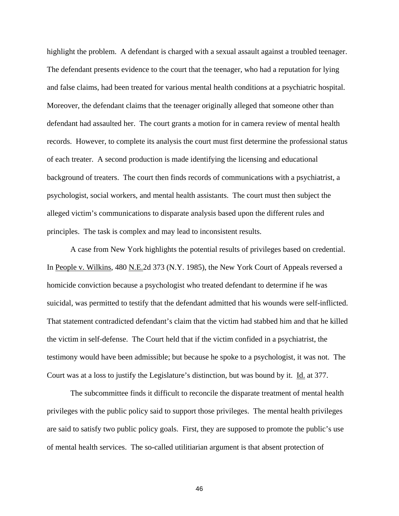highlight the problem. A defendant is charged with a sexual assault against a troubled teenager. The defendant presents evidence to the court that the teenager, who had a reputation for lying and false claims, had been treated for various mental health conditions at a psychiatric hospital. Moreover, the defendant claims that the teenager originally alleged that someone other than defendant had assaulted her. The court grants a motion for in camera review of mental health records. However, to complete its analysis the court must first determine the professional status of each treater. A second production is made identifying the licensing and educational background of treaters. The court then finds records of communications with a psychiatrist, a psychologist, social workers, and mental health assistants. The court must then subject the alleged victim's communications to disparate analysis based upon the different rules and principles. The task is complex and may lead to inconsistent results.

A case from New York highlights the potential results of privileges based on credential. In People v. Wilkins, 480 N.E.2d 373 (N.Y. 1985), the New York Court of Appeals reversed a homicide conviction because a psychologist who treated defendant to determine if he was suicidal, was permitted to testify that the defendant admitted that his wounds were self-inflicted. That statement contradicted defendant's claim that the victim had stabbed him and that he killed the victim in self-defense. The Court held that if the victim confided in a psychiatrist, the testimony would have been admissible; but because he spoke to a psychologist, it was not. The Court was at a loss to justify the Legislature's distinction, but was bound by it. Id. at 377.

The subcommittee finds it difficult to reconcile the disparate treatment of mental health privileges with the public policy said to support those privileges. The mental health privileges are said to satisfy two public policy goals. First, they are supposed to promote the public's use of mental health services. The so-called utilitiarian argument is that absent protection of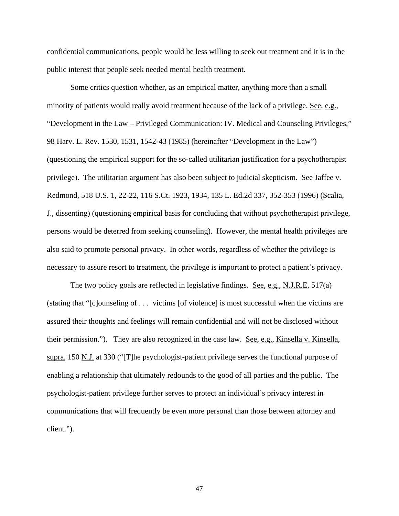confidential communications, people would be less willing to seek out treatment and it is in the public interest that people seek needed mental health treatment.

Some critics question whether, as an empirical matter, anything more than a small minority of patients would really avoid treatment because of the lack of a privilege. See, e.g., "Development in the Law – Privileged Communication: IV. Medical and Counseling Privileges," 98 Harv. L. Rev. 1530, 1531, 1542-43 (1985) (hereinafter "Development in the Law") (questioning the empirical support for the so-called utilitarian justification for a psychotherapist privilege). The utilitarian argument has also been subject to judicial skepticism. See Jaffee v. Redmond, 518 U.S. 1, 22-22, 116 S.Ct. 1923, 1934, 135 L. Ed.2d 337, 352-353 (1996) (Scalia, J., dissenting) (questioning empirical basis for concluding that without psychotherapist privilege, persons would be deterred from seeking counseling). However, the mental health privileges are also said to promote personal privacy. In other words, regardless of whether the privilege is necessary to assure resort to treatment, the privilege is important to protect a patient's privacy.

The two policy goals are reflected in legislative findings. See, e.g., N.J.R.E.  $517(a)$ (stating that "[c]ounseling of . . . victims [of violence] is most successful when the victims are assured their thoughts and feelings will remain confidential and will not be disclosed without their permission."). They are also recognized in the case law. See, e.g., Kinsella v. Kinsella, supra, 150 N.J. at 330 ("[T]he psychologist-patient privilege serves the functional purpose of enabling a relationship that ultimately redounds to the good of all parties and the public. The psychologist-patient privilege further serves to protect an individual's privacy interest in communications that will frequently be even more personal than those between attorney and client.").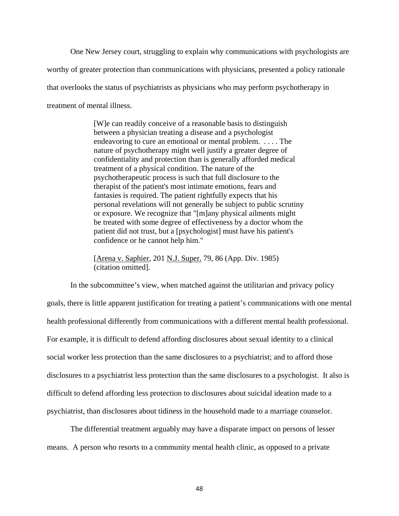One New Jersey court, struggling to explain why communications with psychologists are worthy of greater protection than communications with physicians, presented a policy rationale that overlooks the status of psychiatrists as physicians who may perform psychotherapy in treatment of mental illness.

> [W]e can readily conceive of a reasonable basis to distinguish between a physician treating a disease and a psychologist endeavoring to cure an emotional or mental problem. . . . . The nature of psychotherapy might well justify a greater degree of confidentiality and protection than is generally afforded medical treatment of a physical condition. The nature of the psychotherapeutic process is such that full disclosure to the therapist of the patient's most intimate emotions, fears and fantasies is required. The patient rightfully expects that his personal revelations will not generally be subject to public scrutiny or exposure. We recognize that "[m]any physical ailments might be treated with some degree of effectiveness by a doctor whom the patient did not trust, but a [psychologist] must have his patient's confidence or he cannot help him."

[Arena v. Saphier, 201 N.J. Super. 79, 86 (App. Div. 1985) (citation omitted].

In the subcommittee's view, when matched against the utilitarian and privacy policy goals, there is little apparent justification for treating a patient's communications with one mental health professional differently from communications with a different mental health professional. For example, it is difficult to defend affording disclosures about sexual identity to a clinical social worker less protection than the same disclosures to a psychiatrist; and to afford those disclosures to a psychiatrist less protection than the same disclosures to a psychologist. It also is difficult to defend affording less protection to disclosures about suicidal ideation made to a psychiatrist, than disclosures about tidiness in the household made to a marriage counselor.

The differential treatment arguably may have a disparate impact on persons of lesser means. A person who resorts to a community mental health clinic, as opposed to a private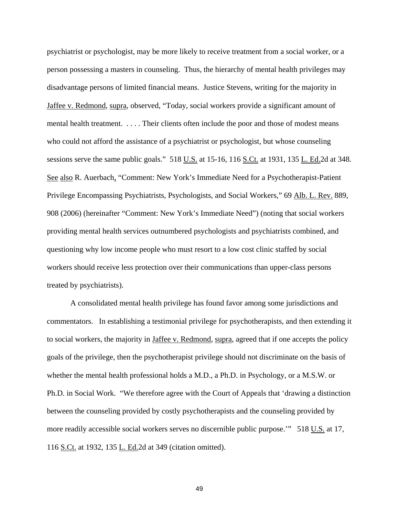psychiatrist or psychologist, may be more likely to receive treatment from a social worker, or a person possessing a masters in counseling. Thus, the hierarchy of mental health privileges may disadvantage persons of limited financial means. Justice Stevens, writing for the majority in Jaffee v. Redmond, supra, observed, "Today, social workers provide a significant amount of mental health treatment. . . . . Their clients often include the poor and those of modest means who could not afford the assistance of a psychiatrist or psychologist, but whose counseling sessions serve the same public goals." 518 U.S. at 15-16, 116 S.Ct. at 1931, 135 L. Ed.2d at 348. See also R. Auerbach, "Comment: New York's Immediate Need for a Psychotherapist-Patient Privilege Encompassing Psychiatrists, Psychologists, and Social Workers," 69 Alb. L. Rev. 889, 908 (2006) (hereinafter "Comment: New York's Immediate Need") (noting that social workers providing mental health services outnumbered psychologists and psychiatrists combined, and questioning why low income people who must resort to a low cost clinic staffed by social workers should receive less protection over their communications than upper-class persons treated by psychiatrists).

A consolidated mental health privilege has found favor among some jurisdictions and commentators. In establishing a testimonial privilege for psychotherapists, and then extending it to social workers, the majority in Jaffee v. Redmond, supra, agreed that if one accepts the policy goals of the privilege, then the psychotherapist privilege should not discriminate on the basis of whether the mental health professional holds a M.D., a Ph.D. in Psychology, or a M.S.W. or Ph.D. in Social Work. "We therefore agree with the Court of Appeals that 'drawing a distinction between the counseling provided by costly psychotherapists and the counseling provided by more readily accessible social workers serves no discernible public purpose.'" 518 U.S. at 17, 116 S.Ct. at 1932, 135 L. Ed.2d at 349 (citation omitted).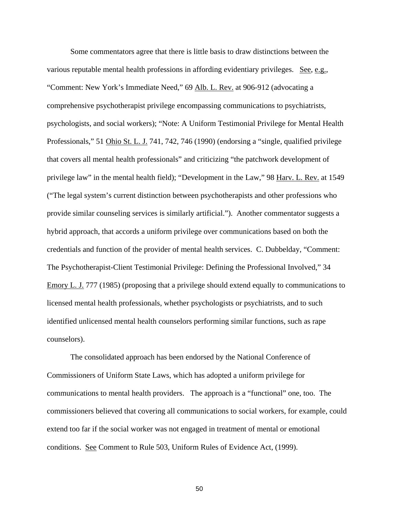Some commentators agree that there is little basis to draw distinctions between the various reputable mental health professions in affording evidentiary privileges. See, e.g., "Comment: New York's Immediate Need," 69 Alb. L. Rev. at 906-912 (advocating a comprehensive psychotherapist privilege encompassing communications to psychiatrists, psychologists, and social workers); "Note: A Uniform Testimonial Privilege for Mental Health Professionals," 51 Ohio St. L. J. 741, 742, 746 (1990) (endorsing a "single, qualified privilege that covers all mental health professionals" and criticizing "the patchwork development of privilege law" in the mental health field); "Development in the Law," 98 Harv. L. Rev. at 1549 ("The legal system's current distinction between psychotherapists and other professions who provide similar counseling services is similarly artificial."). Another commentator suggests a hybrid approach, that accords a uniform privilege over communications based on both the credentials and function of the provider of mental health services. C. Dubbelday, "Comment: The Psychotherapist-Client Testimonial Privilege: Defining the Professional Involved," 34 Emory L. J. 777 (1985) (proposing that a privilege should extend equally to communications to licensed mental health professionals, whether psychologists or psychiatrists, and to such identified unlicensed mental health counselors performing similar functions, such as rape counselors).

The consolidated approach has been endorsed by the National Conference of Commissioners of Uniform State Laws, which has adopted a uniform privilege for communications to mental health providers. The approach is a "functional" one, too. The commissioners believed that covering all communications to social workers, for example, could extend too far if the social worker was not engaged in treatment of mental or emotional conditions. See Comment to Rule 503, Uniform Rules of Evidence Act, (1999).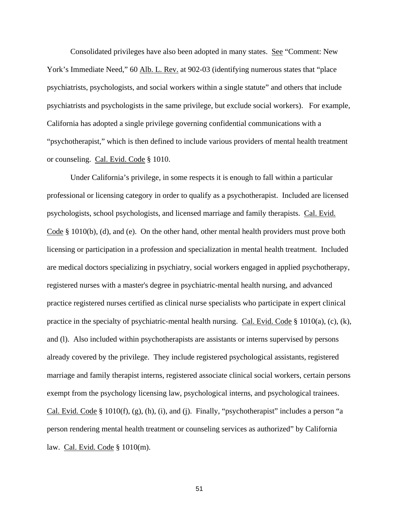Consolidated privileges have also been adopted in many states. See "Comment: New York's Immediate Need," 60 Alb. L. Rev. at 902-03 (identifying numerous states that "place psychiatrists, psychologists, and social workers within a single statute" and others that include psychiatrists and psychologists in the same privilege, but exclude social workers). For example, California has adopted a single privilege governing confidential communications with a "psychotherapist," which is then defined to include various providers of mental health treatment or counseling. Cal. Evid. Code § 1010.

Under California's privilege, in some respects it is enough to fall within a particular professional or licensing category in order to qualify as a psychotherapist. Included are licensed psychologists, school psychologists, and licensed marriage and family therapists. Cal. Evid. Code § 1010(b), (d), and (e). On the other hand, other mental health providers must prove both licensing or participation in a profession and specialization in mental health treatment. Included are medical doctors specializing in psychiatry, social workers engaged in applied psychotherapy, registered nurses with a master's degree in psychiatric-mental health nursing, and advanced practice registered nurses certified as clinical nurse specialists who participate in expert clinical practice in the specialty of psychiatric-mental health nursing. Cal. Evid. Code  $\S$  1010(a), (c), (k), and (l). Also included within psychotherapists are assistants or interns supervised by persons already covered by the privilege. They include registered psychological assistants, registered marriage and family therapist interns, registered associate clinical social workers, certain persons exempt from the psychology licensing law, psychological interns, and psychological trainees. Cal. Evid. Code § 1010(f),  $(g)$ ,  $(h)$ ,  $(i)$ , and  $(j)$ . Finally, "psychotherapist" includes a person "a person rendering mental health treatment or counseling services as authorized" by California law. Cal. Evid. Code § 1010(m).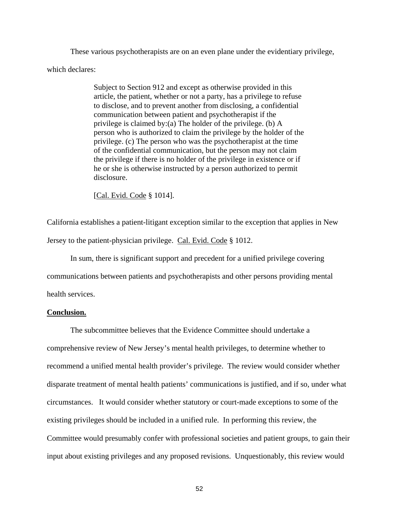These various psychotherapists are on an even plane under the evidentiary privilege, which declares:

> Subject to Section 912 and except as otherwise provided in this article, the patient, whether or not a party, has a privilege to refuse to disclose, and to prevent another from disclosing, a confidential communication between patient and psychotherapist if the privilege is claimed by:(a) The holder of the privilege. (b) A person who is authorized to claim the privilege by the holder of the privilege. (c) The person who was the psychotherapist at the time of the confidential communication, but the person may not claim the privilege if there is no holder of the privilege in existence or if he or she is otherwise instructed by a person authorized to permit disclosure.

[Cal. Evid. Code § 1014].

California establishes a patient-litigant exception similar to the exception that applies in New Jersey to the patient-physician privilege. Cal. Evid. Code § 1012.

In sum, there is significant support and precedent for a unified privilege covering communications between patients and psychotherapists and other persons providing mental health services.

#### **Conclusion.**

 The subcommittee believes that the Evidence Committee should undertake a comprehensive review of New Jersey's mental health privileges, to determine whether to recommend a unified mental health provider's privilege. The review would consider whether disparate treatment of mental health patients' communications is justified, and if so, under what circumstances. It would consider whether statutory or court-made exceptions to some of the existing privileges should be included in a unified rule. In performing this review, the Committee would presumably confer with professional societies and patient groups, to gain their input about existing privileges and any proposed revisions. Unquestionably, this review would